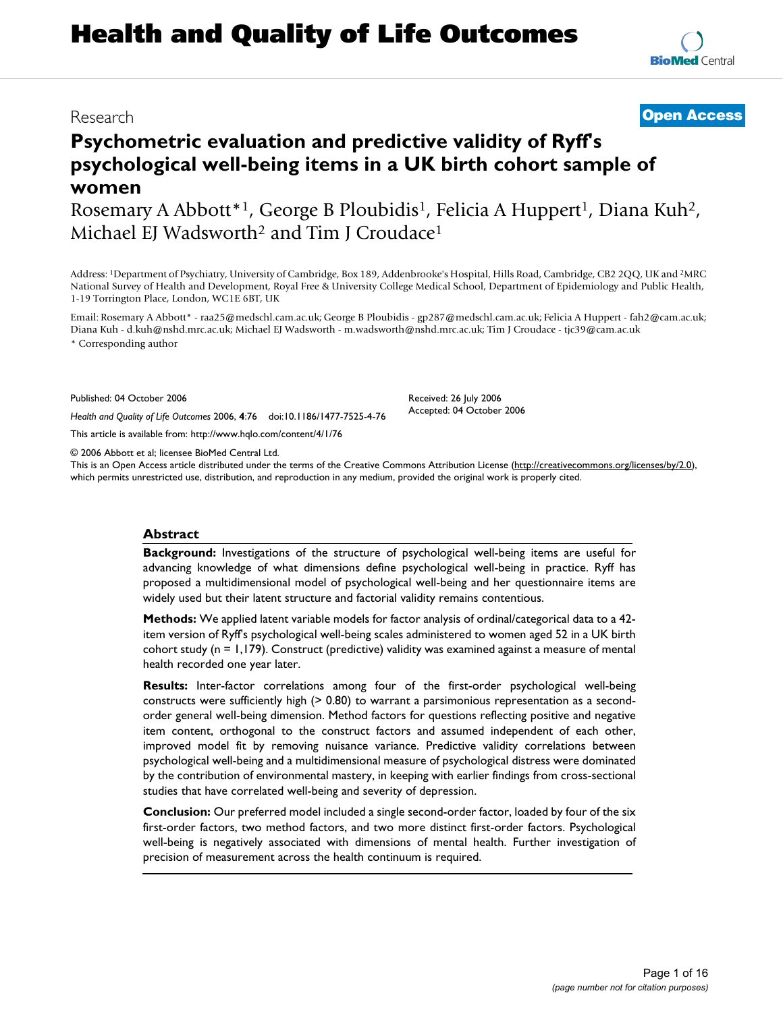# **Psychometric evaluation and predictive validity of Ryff's psychological well-being items in a UK birth cohort sample of women**

Rosemary A Abbott<sup>\*1</sup>, George B Ploubidis<sup>1</sup>, Felicia A Huppert<sup>1</sup>, Diana Kuh<sup>2</sup>, Michael EJ Wadsworth<sup>2</sup> and Tim J Croudace<sup>1</sup>

Address: 1Department of Psychiatry, University of Cambridge, Box 189, Addenbrooke's Hospital, Hills Road, Cambridge, CB2 2QQ, UK and 2MRC National Survey of Health and Development, Royal Free & University College Medical School, Department of Epidemiology and Public Health, 1-19 Torrington Place, London, WC1E 6BT, UK

Email: Rosemary A Abbott\* - raa25@medschl.cam.ac.uk; George B Ploubidis - gp287@medschl.cam.ac.uk; Felicia A Huppert - fah2@cam.ac.uk; Diana Kuh - d.kuh@nshd.mrc.ac.uk; Michael EJ Wadsworth - m.wadsworth@nshd.mrc.ac.uk; Tim J Croudace - tjc39@cam.ac.uk \* Corresponding author

> Received: 26 July 2006 Accepted: 04 October 2006

Published: 04 October 2006

*Health and Quality of Life Outcomes* 2006, **4**:76 doi:10.1186/1477-7525-4-76

[This article is available from: http://www.hqlo.com/content/4/1/76](http://www.hqlo.com/content/4/1/76)

© 2006 Abbott et al; licensee BioMed Central Ltd.

This is an Open Access article distributed under the terms of the Creative Commons Attribution License [\(http://creativecommons.org/licenses/by/2.0\)](http://creativecommons.org/licenses/by/2.0), which permits unrestricted use, distribution, and reproduction in any medium, provided the original work is properly cited.

#### **Abstract**

**Background:** Investigations of the structure of psychological well-being items are useful for advancing knowledge of what dimensions define psychological well-being in practice. Ryff has proposed a multidimensional model of psychological well-being and her questionnaire items are widely used but their latent structure and factorial validity remains contentious.

**Methods:** We applied latent variable models for factor analysis of ordinal/categorical data to a 42 item version of Ryff's psychological well-being scales administered to women aged 52 in a UK birth cohort study (n = 1,179). Construct (predictive) validity was examined against a measure of mental health recorded one year later.

**Results:** Inter-factor correlations among four of the first-order psychological well-being constructs were sufficiently high (> 0.80) to warrant a parsimonious representation as a secondorder general well-being dimension. Method factors for questions reflecting positive and negative item content, orthogonal to the construct factors and assumed independent of each other, improved model fit by removing nuisance variance. Predictive validity correlations between psychological well-being and a multidimensional measure of psychological distress were dominated by the contribution of environmental mastery, in keeping with earlier findings from cross-sectional studies that have correlated well-being and severity of depression.

**Conclusion:** Our preferred model included a single second-order factor, loaded by four of the six first-order factors, two method factors, and two more distinct first-order factors. Psychological well-being is negatively associated with dimensions of mental health. Further investigation of precision of measurement across the health continuum is required.

Research **[Open Access](http://www.biomedcentral.com/info/about/charter/)**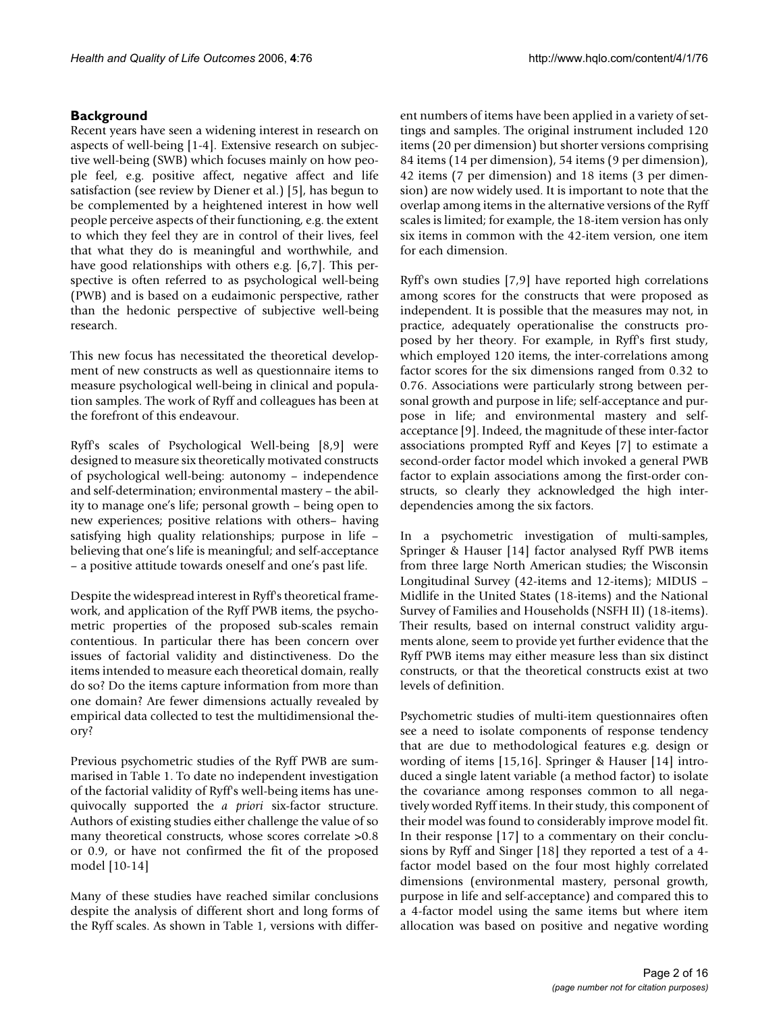# **Background**

Recent years have seen a widening interest in research on aspects of well-being [1-4]. Extensive research on subjective well-being (SWB) which focuses mainly on how people feel, e.g. positive affect, negative affect and life satisfaction (see review by Diener et al.) [5], has begun to be complemented by a heightened interest in how well people perceive aspects of their functioning, e.g. the extent to which they feel they are in control of their lives, feel that what they do is meaningful and worthwhile, and have good relationships with others e.g. [6,7]. This perspective is often referred to as psychological well-being (PWB) and is based on a eudaimonic perspective, rather than the hedonic perspective of subjective well-being research.

This new focus has necessitated the theoretical development of new constructs as well as questionnaire items to measure psychological well-being in clinical and population samples. The work of Ryff and colleagues has been at the forefront of this endeavour.

Ryff's scales of Psychological Well-being [8,9] were designed to measure six theoretically motivated constructs of psychological well-being: autonomy – independence and self-determination; environmental mastery – the ability to manage one's life; personal growth – being open to new experiences; positive relations with others– having satisfying high quality relationships; purpose in life – believing that one's life is meaningful; and self-acceptance – a positive attitude towards oneself and one's past life.

Despite the widespread interest in Ryff's theoretical framework, and application of the Ryff PWB items, the psychometric properties of the proposed sub-scales remain contentious. In particular there has been concern over issues of factorial validity and distinctiveness. Do the items intended to measure each theoretical domain, really do so? Do the items capture information from more than one domain? Are fewer dimensions actually revealed by empirical data collected to test the multidimensional theory?

Previous psychometric studies of the Ryff PWB are summarised in Table 1. To date no independent investigation of the factorial validity of Ryff's well-being items has unequivocally supported the *a priori* six-factor structure. Authors of existing studies either challenge the value of so many theoretical constructs, whose scores correlate >0.8 or 0.9, or have not confirmed the fit of the proposed model [10-14]

Many of these studies have reached similar conclusions despite the analysis of different short and long forms of the Ryff scales. As shown in Table 1, versions with different numbers of items have been applied in a variety of settings and samples. The original instrument included 120 items (20 per dimension) but shorter versions comprising 84 items (14 per dimension), 54 items (9 per dimension), 42 items (7 per dimension) and 18 items (3 per dimension) are now widely used. It is important to note that the overlap among items in the alternative versions of the Ryff scales is limited; for example, the 18-item version has only six items in common with the 42-item version, one item for each dimension.

Ryff's own studies [7,9] have reported high correlations among scores for the constructs that were proposed as independent. It is possible that the measures may not, in practice, adequately operationalise the constructs proposed by her theory. For example, in Ryff's first study, which employed 120 items, the inter-correlations among factor scores for the six dimensions ranged from 0.32 to 0.76. Associations were particularly strong between personal growth and purpose in life; self-acceptance and purpose in life; and environmental mastery and selfacceptance [9]. Indeed, the magnitude of these inter-factor associations prompted Ryff and Keyes [7] to estimate a second-order factor model which invoked a general PWB factor to explain associations among the first-order constructs, so clearly they acknowledged the high interdependencies among the six factors.

In a psychometric investigation of multi-samples, Springer & Hauser [14] factor analysed Ryff PWB items from three large North American studies; the Wisconsin Longitudinal Survey (42-items and 12-items); MIDUS – Midlife in the United States (18-items) and the National Survey of Families and Households (NSFH II) (18-items). Their results, based on internal construct validity arguments alone, seem to provide yet further evidence that the Ryff PWB items may either measure less than six distinct constructs, or that the theoretical constructs exist at two levels of definition.

Psychometric studies of multi-item questionnaires often see a need to isolate components of response tendency that are due to methodological features e.g. design or wording of items [15,16]. Springer & Hauser [14] introduced a single latent variable (a method factor) to isolate the covariance among responses common to all negatively worded Ryff items. In their study, this component of their model was found to considerably improve model fit. In their response [17] to a commentary on their conclusions by Ryff and Singer [18] they reported a test of a 4 factor model based on the four most highly correlated dimensions (environmental mastery, personal growth, purpose in life and self-acceptance) and compared this to a 4-factor model using the same items but where item allocation was based on positive and negative wording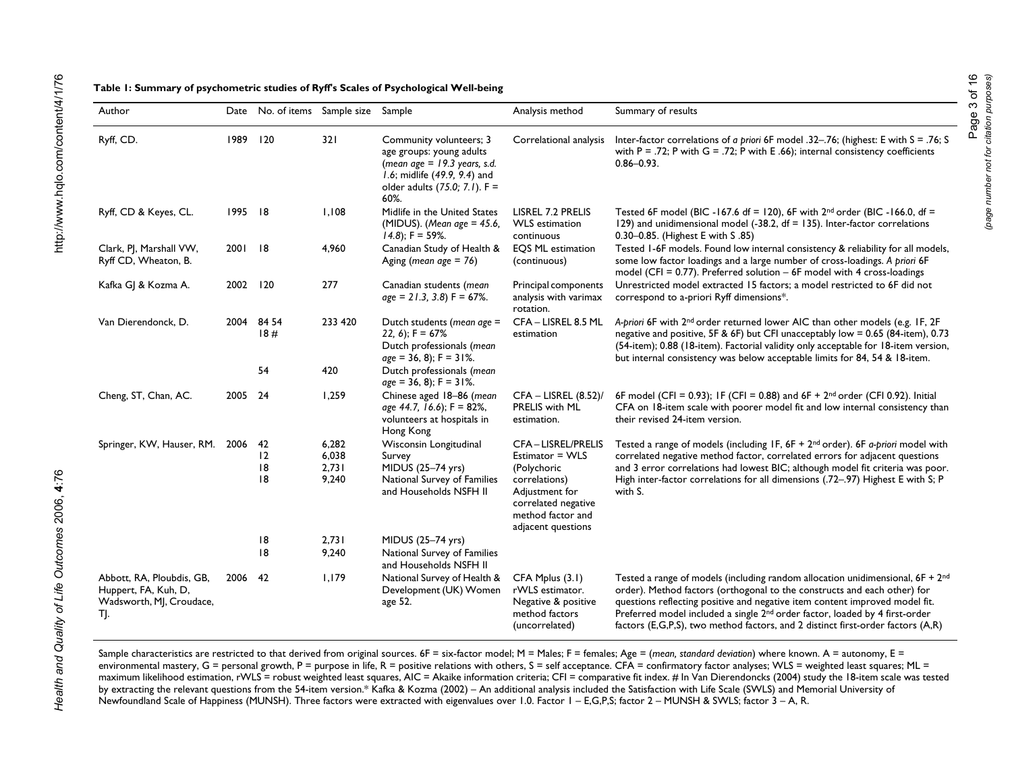| able 1: Summary of psychometric studies of Ryff's Scales of Psychological Well-being |  |
|--------------------------------------------------------------------------------------|--|
|                                                                                      |  |

| Author                                                                               |          | Date No. of items Sample size Sample |                |                                                                                                                                                                | Analysis method                                                                                   | Summary of results                                                                                                                                                                                                                                                                                                                                                                                                           |
|--------------------------------------------------------------------------------------|----------|--------------------------------------|----------------|----------------------------------------------------------------------------------------------------------------------------------------------------------------|---------------------------------------------------------------------------------------------------|------------------------------------------------------------------------------------------------------------------------------------------------------------------------------------------------------------------------------------------------------------------------------------------------------------------------------------------------------------------------------------------------------------------------------|
| Ryff, CD.                                                                            | 1989 120 |                                      | 321            | Community volunteers; 3<br>age groups: young adults<br>(mean age $= 19.3$ years, s.d.<br>1.6; midlife (49.9, 9.4) and<br>older adults (75.0; 7.1). F =<br>60%. | Correlational analysis                                                                            | Inter-factor correlations of a priori 6F model .32-.76; (highest: E with S = .76; S<br>with $P = .72$ ; P with $G = .72$ ; P with E .66); internal consistency coefficients<br>$0.86 - 0.93$ .                                                                                                                                                                                                                               |
| Ryff, CD & Keyes, CL.                                                                | 1995 18  |                                      | 1,108          | Midlife in the United States<br>(MIDUS). (Mean age = $45.6$ ,<br>$(4.8)$ ; F = 59%.                                                                            | LISREL 7.2 PRELIS<br><b>WLS</b> estimation<br>continuous                                          | Tested 6F model (BIC -167.6 df = 120), 6F with $2^{nd}$ order (BIC -166.0, df =<br>129) and unidimensional model (-38.2, $df = 135$ ). Inter-factor correlations<br>0.30-0.85. (Highest E with S .85)                                                                                                                                                                                                                        |
| Clark, PJ, Marshall VW,<br>Ryff CD, Wheaton, B.                                      | 2001 18  |                                      | 4,960          | Canadian Study of Health &<br>Aging (mean age $= 76$ )                                                                                                         | <b>EOS ML estimation</b><br>(continuous)                                                          | Tested 1-6F models. Found low internal consistency & reliability for all models,<br>some low factor loadings and a large number of cross-loadings. A priori 6F<br>model (CFI = $0.77$ ). Preferred solution $-6F$ model with 4 cross-loadings                                                                                                                                                                                |
| Kafka GJ & Kozma A.                                                                  | 2002     | 120                                  | 277            | Canadian students (mean<br>$age = 21.3, 3.8$ F = 67%.                                                                                                          | Principal components<br>analysis with varimax<br>rotation.                                        | Unrestricted model extracted 15 factors; a model restricted to 6F did not<br>correspond to a-priori Ryff dimensions*.                                                                                                                                                                                                                                                                                                        |
| Van Dierendonck, D.                                                                  |          | 2004 84 54<br>18#                    | 233 420        | Dutch students (mean age =<br>22, 6); $F = 67%$<br>Dutch professionals (mean<br>$age = 36, 8$ ; F = 31%.                                                       | CFA - LISREL 8.5 ML<br>estimation                                                                 | A-priori 6F with 2 <sup>nd</sup> order returned lower AIC than other models (e.g. IF, 2F<br>negative and positive, 5F & 6F) but CFI unacceptably low = 0.65 (84-item), 0.73<br>(54-item); 0.88 (18-item). Factorial validity only acceptable for 18-item version,<br>but internal consistency was below acceptable limits for 84, 54 & 18-item.                                                                              |
|                                                                                      |          | 54                                   | 420            | Dutch professionals (mean<br>$age = 36, 8$ ; F = 31%.                                                                                                          |                                                                                                   |                                                                                                                                                                                                                                                                                                                                                                                                                              |
| Cheng, ST, Chan, AC.                                                                 | 2005     | - 24                                 | 1,259          | Chinese aged 18-86 (mean<br>age 44.7, 16.6); F = 82%,<br>volunteers at hospitals in<br>Hong Kong                                                               | $CFA - LISREL (8.52)$ /<br>PRELIS with ML<br>estimation.                                          | 6F model (CFI = 0.93); IF (CFI = 0.88) and $6F + 2^{nd}$ order (CFI 0.92). Initial<br>CFA on 18-item scale with poorer model fit and low internal consistency than<br>their revised 24-item version.                                                                                                                                                                                                                         |
| Springer, KW, Hauser, RM. 2006                                                       |          | -42                                  | 6,282          | Wisconsin Longitudinal                                                                                                                                         | <b>CFA-LISREL/PRELIS</b>                                                                          | Tested a range of models (including IF, 6F + 2 <sup>nd</sup> order). 6F a-priori model with                                                                                                                                                                                                                                                                                                                                  |
|                                                                                      |          | 12<br>18                             | 6,038<br>2,731 | Survey<br>MIDUS (25-74 yrs)                                                                                                                                    | Estimator = WLS<br>(Polychoric                                                                    | correlated negative method factor, correlated errors for adjacent questions<br>and 3 error correlations had lowest BIC; although model fit criteria was poor.                                                                                                                                                                                                                                                                |
|                                                                                      |          | 8                                    | 9,240          | National Survey of Families<br>and Households NSFH II                                                                                                          | correlations)<br>Adjustment for<br>correlated negative<br>method factor and<br>adjacent questions | High inter-factor correlations for all dimensions (.72-.97) Highest E with S; P<br>with S.                                                                                                                                                                                                                                                                                                                                   |
|                                                                                      |          | 8                                    | 2,731          | MIDUS (25-74 yrs)                                                                                                                                              |                                                                                                   |                                                                                                                                                                                                                                                                                                                                                                                                                              |
|                                                                                      |          | 18                                   | 9,240          | National Survey of Families<br>and Households NSFH II                                                                                                          |                                                                                                   |                                                                                                                                                                                                                                                                                                                                                                                                                              |
| Abbott, RA, Ploubdis, GB,<br>Huppert, FA, Kuh, D,<br>Wadsworth, MJ, Croudace,<br>TJ. | 2006 42  |                                      | 1,179          | National Survey of Health &<br>Development (UK) Women<br>age 52.                                                                                               | CFA Mplus (3.1)<br>rWLS estimator.<br>Negative & positive<br>method factors<br>(uncorrelated)     | Tested a range of models (including random allocation unidimensional, $6F + 2^{nd}$<br>order). Method factors (orthogonal to the constructs and each other) for<br>questions reflecting positive and negative item content improved model fit.<br>Preferred model included a single 2 <sup>nd</sup> order factor, loaded by 4 first-order<br>factors (E,G,P,S), two method factors, and 2 distinct first-order factors (A,R) |

Sample characteristics are restricted to that derived from original sources. 6F = six-factor model; M = Males; F = females; Age = (*mean, standard deviation*) where known. A = autonomy, E = environmental mastery, G = personal growth, P = purpose in life, R = positive relations with others, S = self acceptance. CFA = confirmatory factor analyses; WLS = weighted least squares; ML = maximum likelihood estimation, rWLS = robust weighted least squares, AIC = Akaike information criteria; CFI = comparative fit index. # In Van Dierendoncks (2004) study the 18-item scale was tested by extracting the relevant questions from the 54-item version.\* Kafka & Kozma (2002) – An additional analysis included the Satisfaction with Life Scale (SWLS) and Memorial University of Newfoundland Scale of Happiness (MUNSH). Three factors were extracted with eigenvalues over 1.0. Factor 1 – E,G,P,S; factor 2 – MUNSH & SWLS; factor 3 – A, R.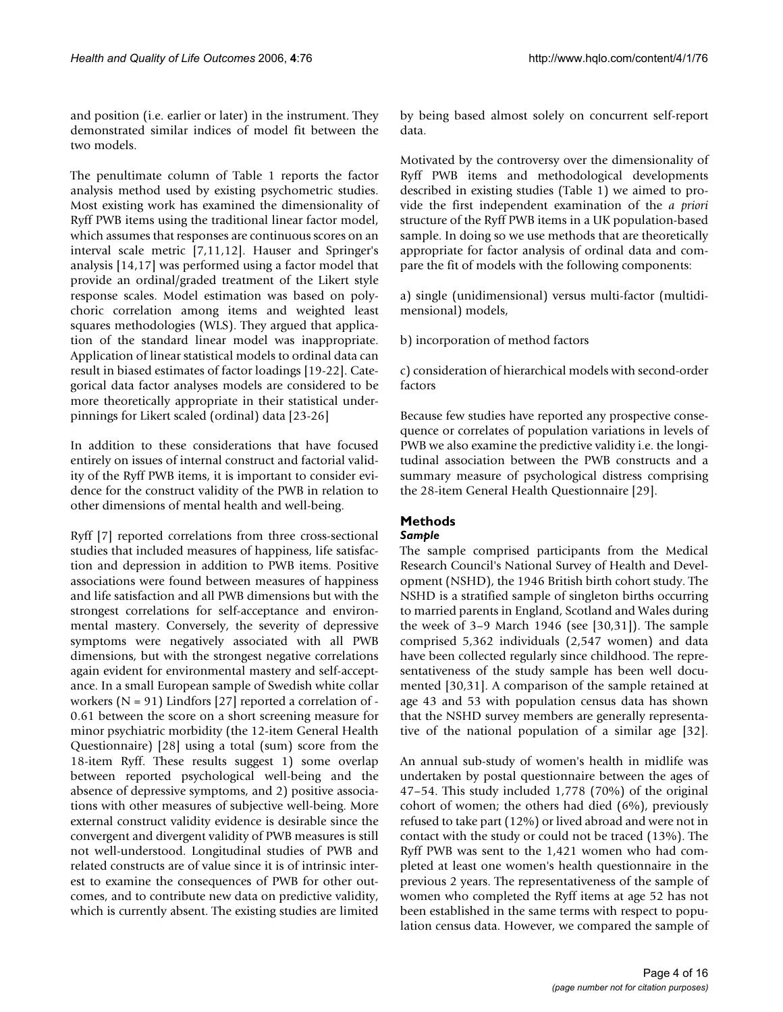and position (i.e. earlier or later) in the instrument. They demonstrated similar indices of model fit between the two models.

The penultimate column of Table 1 reports the factor analysis method used by existing psychometric studies. Most existing work has examined the dimensionality of Ryff PWB items using the traditional linear factor model, which assumes that responses are continuous scores on an interval scale metric [7,11,12]. Hauser and Springer's analysis [14,17] was performed using a factor model that provide an ordinal/graded treatment of the Likert style response scales. Model estimation was based on polychoric correlation among items and weighted least squares methodologies (WLS). They argued that application of the standard linear model was inappropriate. Application of linear statistical models to ordinal data can result in biased estimates of factor loadings [19-22]. Categorical data factor analyses models are considered to be more theoretically appropriate in their statistical underpinnings for Likert scaled (ordinal) data [23-26]

In addition to these considerations that have focused entirely on issues of internal construct and factorial validity of the Ryff PWB items, it is important to consider evidence for the construct validity of the PWB in relation to other dimensions of mental health and well-being.

Ryff [7] reported correlations from three cross-sectional studies that included measures of happiness, life satisfaction and depression in addition to PWB items. Positive associations were found between measures of happiness and life satisfaction and all PWB dimensions but with the strongest correlations for self-acceptance and environmental mastery. Conversely, the severity of depressive symptoms were negatively associated with all PWB dimensions, but with the strongest negative correlations again evident for environmental mastery and self-acceptance. In a small European sample of Swedish white collar workers ( $N = 91$ ) Lindfors [27] reported a correlation of -0.61 between the score on a short screening measure for minor psychiatric morbidity (the 12-item General Health Questionnaire) [28] using a total (sum) score from the 18-item Ryff. These results suggest 1) some overlap between reported psychological well-being and the absence of depressive symptoms, and 2) positive associations with other measures of subjective well-being. More external construct validity evidence is desirable since the convergent and divergent validity of PWB measures is still not well-understood. Longitudinal studies of PWB and related constructs are of value since it is of intrinsic interest to examine the consequences of PWB for other outcomes, and to contribute new data on predictive validity, which is currently absent. The existing studies are limited

by being based almost solely on concurrent self-report data.

Motivated by the controversy over the dimensionality of Ryff PWB items and methodological developments described in existing studies (Table 1) we aimed to provide the first independent examination of the *a priori* structure of the Ryff PWB items in a UK population-based sample. In doing so we use methods that are theoretically appropriate for factor analysis of ordinal data and compare the fit of models with the following components:

a) single (unidimensional) versus multi-factor (multidimensional) models,

b) incorporation of method factors

c) consideration of hierarchical models with second-order factors

Because few studies have reported any prospective consequence or correlates of population variations in levels of PWB we also examine the predictive validity i.e. the longitudinal association between the PWB constructs and a summary measure of psychological distress comprising the 28-item General Health Questionnaire [29].

# **Methods**

# *Sample*

The sample comprised participants from the Medical Research Council's National Survey of Health and Development (NSHD), the 1946 British birth cohort study. The NSHD is a stratified sample of singleton births occurring to married parents in England, Scotland and Wales during the week of 3–9 March 1946 (see [30,31]). The sample comprised 5,362 individuals (2,547 women) and data have been collected regularly since childhood. The representativeness of the study sample has been well documented [30,31]. A comparison of the sample retained at age 43 and 53 with population census data has shown that the NSHD survey members are generally representative of the national population of a similar age [32].

An annual sub-study of women's health in midlife was undertaken by postal questionnaire between the ages of 47–54. This study included 1,778 (70%) of the original cohort of women; the others had died (6%), previously refused to take part (12%) or lived abroad and were not in contact with the study or could not be traced (13%). The Ryff PWB was sent to the 1,421 women who had completed at least one women's health questionnaire in the previous 2 years. The representativeness of the sample of women who completed the Ryff items at age 52 has not been established in the same terms with respect to population census data. However, we compared the sample of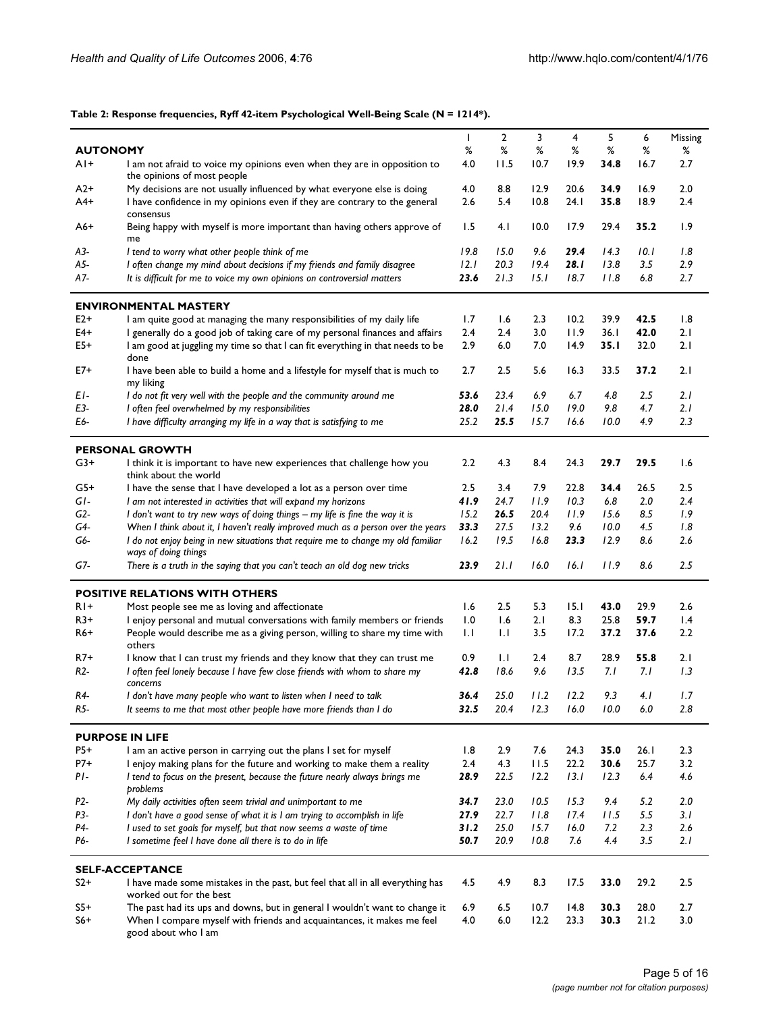# **Table 2: Response frequencies, Ryff 42-item Psychological Well-Being Scale (N = 1214\*).**

|                 |                                                                                                           | $\mathbf{I}$ | 2    | 3    | 4     | 5     | 6     | Missing |
|-----------------|-----------------------------------------------------------------------------------------------------------|--------------|------|------|-------|-------|-------|---------|
| <b>AUTONOMY</b> |                                                                                                           | %            | ℅    | ℅    | ℅     | %     | %     | ℅       |
| $AI+$           | I am not afraid to voice my opinions even when they are in opposition to<br>the opinions of most people   | 4.0          | 11.5 | 10.7 | 19.9  | 34.8  | 16.7  | 2.7     |
| $A2+$           | My decisions are not usually influenced by what everyone else is doing                                    | 4.0          | 8.8  | 12.9 | 20.6  | 34.9  | 16.9  | 2.0     |
| A4+             | I have confidence in my opinions even if they are contrary to the general                                 | 2.6          | 5.4  | 10.8 | 24. I | 35.8  | 18.9  | 2.4     |
|                 | consensus                                                                                                 |              |      |      |       |       |       |         |
| $A6+$           | Being happy with myself is more important than having others approve of<br>me                             | 1.5          | 4. I | 10.0 | 17.9  | 29.4  | 35.2  | 1.9     |
| A3-             | I tend to worry what other people think of me                                                             | 19.8         | 15.0 | 9.6  | 29.4  | 14.3  | 10.I  | 1.8     |
| A5-             | I often change my mind about decisions if my friends and family disagree                                  | 12.1         | 20.3 | 19.4 | 28. I | 13.8  | 3.5   | 2.9     |
|                 |                                                                                                           |              |      |      |       |       |       |         |
| A7-             | It is difficult for me to voice my own opinions on controversial matters                                  | 23.6         | 21.3 | 15.I | 18.7  | 11.8  | 6.8   | 2.7     |
|                 | <b>ENVIRONMENTAL MASTERY</b>                                                                              |              |      |      |       |       |       |         |
| $E2+$           | I am quite good at managing the many responsibilities of my daily life                                    | 1.7          | 1.6  | 2.3  | 10.2  | 39.9  | 42.5  | 1.8     |
| E4+             | I generally do a good job of taking care of my personal finances and affairs                              | 2.4          | 2.4  | 3.0  | 11.9  | 36.1  | 42.0  | 2.1     |
| E5+             | I am good at juggling my time so that I can fit everything in that needs to be                            | 2.9          | 6.0  | 7.0  | 14.9  | 35. I | 32.0  | 2.1     |
|                 | done                                                                                                      |              |      |      |       |       |       |         |
| E7+             | I have been able to build a home and a lifestyle for myself that is much to<br>my liking                  | 2.7          | 2.5  | 5.6  | 16.3  | 33.5  | 37.2  | 2.1     |
| EI-             | I do not fit very well with the people and the community around me                                        | 53.6         | 23.4 | 6.9  | 6.7   | 4.8   | 2.5   | 2.1     |
| E3-             | I often feel overwhelmed by my responsibilities                                                           | 28.0         | 21.4 | 15.0 | 19.0  | 9.8   | 4.7   | 2.1     |
| E6-             | I have difficulty arranging my life in a way that is satisfying to me                                     | 25.2         | 25.5 | 15.7 | 16.6  | 10.0  | 4.9   | 2.3     |
|                 |                                                                                                           |              |      |      |       |       |       |         |
|                 | <b>PERSONAL GROWTH</b>                                                                                    |              |      |      |       |       |       |         |
| $G3+$           | I think it is important to have new experiences that challenge how you<br>think about the world           | 2.2          | 4.3  | 8.4  | 24.3  | 29.7  | 29.5  | 1.6     |
| $G5+$           | I have the sense that I have developed a lot as a person over time                                        | 2.5          | 3.4  | 7.9  | 22.8  | 34.4  | 26.5  | 2.5     |
| GI-             | I am not interested in activities that will expand my horizons                                            | 41.9         | 24.7 | 11.9 | 10.3  | 6.8   | 2.0   | 2.4     |
| G2-             | I don't want to try new ways of doing things - my life is fine the way it is                              | 15.2         | 26.5 | 20.4 | 11.9  | 15.6  | 8.5   | 1.9     |
| G4-             | When I think about it, I haven't really improved much as a person over the years                          | 33.3         | 27.5 | 13.2 | 9.6   | 10.0  | 4.5   | 1.8     |
| G6-             | I do not enjoy being in new situations that require me to change my old familiar                          | 16.2         | 19.5 | 16.8 | 23.3  | 12.9  | 8.6   | 2.6     |
|                 | ways of doing things                                                                                      |              |      |      |       |       |       |         |
| G7-             | There is a truth in the saying that you can't teach an old dog new tricks                                 | 23.9         | 21.1 | 16.0 | 16.I  | 11.9  | 8.6   | 2.5     |
|                 | <b>POSITIVE RELATIONS WITH OTHERS</b>                                                                     |              |      |      |       |       |       |         |
| RI+             | Most people see me as loving and affectionate                                                             | 1.6          | 2.5  | 5.3  | 15.1  | 43.0  | 29.9  | 2.6     |
| $R3+$           | I enjoy personal and mutual conversations with family members or friends                                  | 1.0          | 1.6  | 2.1  | 8.3   | 25.8  | 59.7  | 1.4     |
| R6+             | People would describe me as a giving person, willing to share my time with                                | IJ           | 1.1  | 3.5  | 17.2  | 37.2  | 37.6  | 2.2     |
|                 | others                                                                                                    |              |      |      |       |       |       |         |
| R7+             | I know that I can trust my friends and they know that they can trust me                                   | 0.9          | 1.1  | 2.4  | 8.7   | 28.9  | 55.8  | 2.1     |
| R2-             | I often feel lonely because I have few close friends with whom to share my<br>concerns                    | 42.8         | 18.6 | 9.6  | 13.5  | 7. I  | 7. I  | 1.3     |
| R4-             | l don't have many people who want to listen when I need to talk                                           | 36.4         | 25.0 | 11.2 | 12.2  | 9.3   | 4. I  | 1.7     |
| R5-             | It seems to me that most other people have more friends than I do                                         | 32.5         | 20.4 | 12.3 | 16.0  | 10.0  | 6.0   | 2.8     |
|                 |                                                                                                           |              |      |      |       |       |       |         |
|                 | <b>PURPOSE IN LIFE</b>                                                                                    |              |      |      |       |       |       |         |
| P5+             | I am an active person in carrying out the plans I set for myself                                          | 1.8          | 2.9  | 7.6  | 24.3  | 35.0  | 26. I | 2.3     |
| $P7+$           | I enjoy making plans for the future and working to make them a reality                                    | 2.4          | 4.3  | 11.5 | 22.2  | 30.6  | 25.7  | 3.2     |
| $PI-$           | I tend to focus on the present, because the future nearly always brings me<br>problems                    | 28.9         | 22.5 | 12.2 | 13.1  | 12.3  | 6.4   | 4.6     |
| P2-             | My daily activities often seem trivial and unimportant to me                                              | 34.7         | 23.0 | 10.5 | 15.3  | 9.4   | 5.2   | 2.0     |
| P3-             | I don't have a good sense of what it is I am trying to accomplish in life                                 | 27.9         | 22.7 | 11.8 | 17.4  | 11.5  | 5.5   | 3.1     |
| P4-             | I used to set goals for myself, but that now seems a waste of time                                        | 31.2         | 25.0 | 15.7 | 16.0  | 7.2   | 2.3   | 2.6     |
| P6-             | I sometime feel I have done all there is to do in life                                                    | 50.7         | 20.9 | 10.8 | 7.6   | 4.4   | 3.5   | 2.1     |
|                 |                                                                                                           |              |      |      |       |       |       |         |
|                 | <b>SELF-ACCEPTANCE</b>                                                                                    |              |      |      |       |       |       |         |
| $S2+$           | I have made some mistakes in the past, but feel that all in all everything has<br>worked out for the best | 4.5          | 4.9  | 8.3  | 17.5  | 33.0  | 29.2  | 2.5     |
| $S5+$           | The past had its ups and downs, but in general I wouldn't want to change it                               | 6.9          | 6.5  | 10.7 | 14.8  | 30.3  | 28.0  | 2.7     |
| $S6+$           | When I compare myself with friends and acquaintances, it makes me feel                                    | 4.0          | 6.0  | 12.2 | 23.3  | 30.3  | 21.2  | 3.0     |
|                 | good about who I am                                                                                       |              |      |      |       |       |       |         |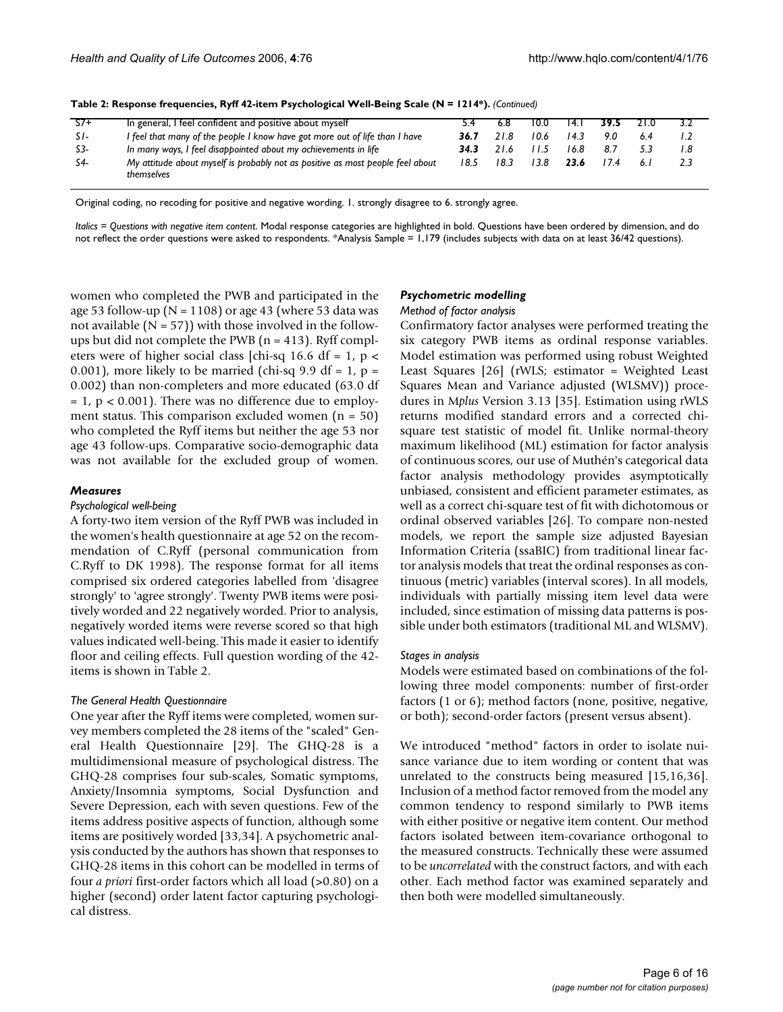| $S7+$ | In general, I feel confident and positive about myself                                       |      |      | 10.0 | 14. L | 39.5 | 21.0 |     |
|-------|----------------------------------------------------------------------------------------------|------|------|------|-------|------|------|-----|
| $SI-$ | I feel that many of the people I know have got more out of life than I have                  | 36.7 | 21.8 | 10.6 | 14.3  | 90   | 6.4  |     |
| S3-   | In many ways, I feel disappointed about my achievements in life                              | 34.3 |      |      | 16.8  | 8.7  |      | 1.8 |
| S4-   | My attitude about myself is probably not as positive as most people feel about<br>themselves | 18.5 | 18.3 | 13.8 | 23.6  |      | 6.1  | 2.3 |

**Table 2: Response frequencies, Ryff 42-item Psychological Well-Being Scale (N = 1214\*).** *(Continued)*

Original coding, no recoding for positive and negative wording. 1. strongly disagree to 6. strongly agree.

*Italics = Questions with negative item content*. Modal response categories are highlighted in bold. Questions have been ordered by dimension, and do not reflect the order questions were asked to respondents. \*Analysis Sample = 1,179 (includes subjects with data on at least 36/42 questions).

women who completed the PWB and participated in the age 53 follow-up ( $N = 1108$ ) or age 43 (where 53 data was not available  $(N = 57)$ ) with those involved in the followups but did not complete the PWB  $(n = 413)$ . Ryff completers were of higher social class [chi-sq 16.6 df = 1,  $p$  < 0.001), more likely to be married (chi-sq 9.9 df = 1,  $p =$ 0.002) than non-completers and more educated (63.0 df  $= 1$ ,  $p < 0.001$ ). There was no difference due to employment status. This comparison excluded women  $(n = 50)$ who completed the Ryff items but neither the age 53 nor age 43 follow-ups. Comparative socio-demographic data was not available for the excluded group of women.

#### *Measures*

#### *Psychological well-being*

A forty-two item version of the Ryff PWB was included in the women's health questionnaire at age 52 on the recommendation of C.Ryff (personal communication from C.Ryff to DK 1998). The response format for all items comprised six ordered categories labelled from 'disagree strongly' to 'agree strongly'. Twenty PWB items were positively worded and 22 negatively worded. Prior to analysis, negatively worded items were reverse scored so that high values indicated well-being. This made it easier to identify floor and ceiling effects. Full question wording of the 42 items is shown in Table 2.

#### *The General Health Questionnaire*

One year after the Ryff items were completed, women survey members completed the 28 items of the "scaled" General Health Questionnaire [29]. The GHQ-28 is a multidimensional measure of psychological distress. The GHQ-28 comprises four sub-scales, Somatic symptoms, Anxiety/Insomnia symptoms, Social Dysfunction and Severe Depression, each with seven questions. Few of the items address positive aspects of function, although some items are positively worded [33,34]. A psychometric analysis conducted by the authors has shown that responses to GHQ-28 items in this cohort can be modelled in terms of four *a priori* first-order factors which all load (>0.80) on a higher (second) order latent factor capturing psychological distress.

#### *Psychometric modelling*

#### *Method of factor analysis*

Confirmatory factor analyses were performed treating the six category PWB items as ordinal response variables. Model estimation was performed using robust Weighted Least Squares [26] (rWLS; estimator = Weighted Least Squares Mean and Variance adjusted (WLSMV)) procedures in M*plus* Version 3.13 [35]. Estimation using rWLS returns modified standard errors and a corrected chisquare test statistic of model fit. Unlike normal-theory maximum likelihood (ML) estimation for factor analysis of continuous scores, our use of Muthén's categorical data factor analysis methodology provides asymptotically unbiased, consistent and efficient parameter estimates, as well as a correct chi-square test of fit with dichotomous or ordinal observed variables [26]. To compare non-nested models, we report the sample size adjusted Bayesian Information Criteria (ssaBIC) from traditional linear factor analysis models that treat the ordinal responses as continuous (metric) variables (interval scores). In all models, individuals with partially missing item level data were included, since estimation of missing data patterns is possible under both estimators (traditional ML and WLSMV).

#### *Stages in analysis*

Models were estimated based on combinations of the following three model components: number of first-order factors (1 or 6); method factors (none, positive, negative, or both); second-order factors (present versus absent).

We introduced "method" factors in order to isolate nuisance variance due to item wording or content that was unrelated to the constructs being measured [15,16,36]. Inclusion of a method factor removed from the model any common tendency to respond similarly to PWB items with either positive or negative item content. Our method factors isolated between item-covariance orthogonal to the measured constructs. Technically these were assumed to be *uncorrelated* with the construct factors, and with each other. Each method factor was examined separately and then both were modelled simultaneously.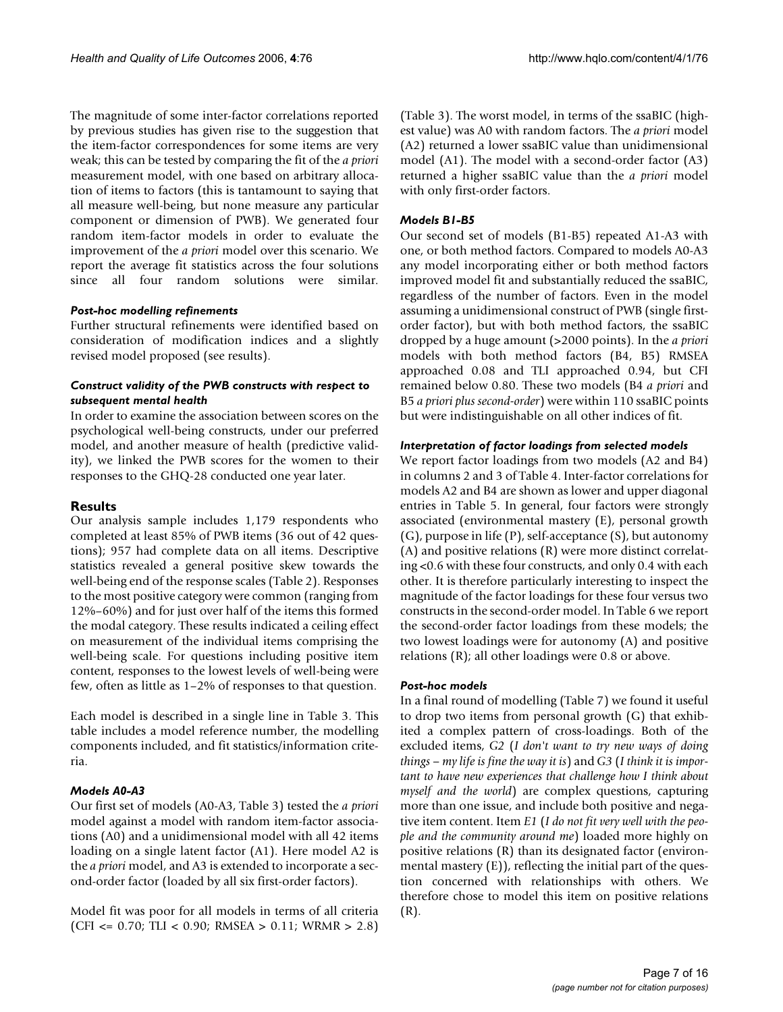The magnitude of some inter-factor correlations reported by previous studies has given rise to the suggestion that the item-factor correspondences for some items are very weak; this can be tested by comparing the fit of the *a priori* measurement model, with one based on arbitrary allocation of items to factors (this is tantamount to saying that all measure well-being, but none measure any particular component or dimension of PWB). We generated four random item-factor models in order to evaluate the improvement of the *a priori* model over this scenario. We report the average fit statistics across the four solutions since all four random solutions were similar.

# *Post-hoc modelling refinements*

Further structural refinements were identified based on consideration of modification indices and a slightly revised model proposed (see results).

# *Construct validity of the PWB constructs with respect to subsequent mental health*

In order to examine the association between scores on the psychological well-being constructs, under our preferred model, and another measure of health (predictive validity), we linked the PWB scores for the women to their responses to the GHQ-28 conducted one year later.

# **Results**

Our analysis sample includes 1,179 respondents who completed at least 85% of PWB items (36 out of 42 questions); 957 had complete data on all items. Descriptive statistics revealed a general positive skew towards the well-being end of the response scales (Table 2). Responses to the most positive category were common (ranging from 12%–60%) and for just over half of the items this formed the modal category. These results indicated a ceiling effect on measurement of the individual items comprising the well-being scale. For questions including positive item content, responses to the lowest levels of well-being were few, often as little as 1–2% of responses to that question.

Each model is described in a single line in Table 3. This table includes a model reference number, the modelling components included, and fit statistics/information criteria.

# *Models A0-A3*

Our first set of models (A0-A3, Table 3) tested the *a priori* model against a model with random item-factor associations (A0) and a unidimensional model with all 42 items loading on a single latent factor (A1). Here model A2 is the *a priori* model, and A3 is extended to incorporate a second-order factor (loaded by all six first-order factors).

Model fit was poor for all models in terms of all criteria (CFI <= 0.70; TLI < 0.90; RMSEA > 0.11; WRMR > 2.8)

(Table 3). The worst model, in terms of the ssaBIC (highest value) was A0 with random factors. The *a priori* model (A2) returned a lower ssaBIC value than unidimensional model (A1). The model with a second-order factor (A3) returned a higher ssaBIC value than the *a priori* model with only first-order factors.

# *Models B1-B5*

Our second set of models (B1-B5) repeated A1-A3 with one, or both method factors. Compared to models A0-A3 any model incorporating either or both method factors improved model fit and substantially reduced the ssaBIC, regardless of the number of factors. Even in the model assuming a unidimensional construct of PWB (single firstorder factor), but with both method factors, the ssaBIC dropped by a huge amount (>2000 points). In the *a priori* models with both method factors (B4, B5) RMSEA approached 0.08 and TLI approached 0.94, but CFI remained below 0.80. These two models (B4 *a priori* and B5 *a priori plus second-order*) were within 110 ssaBIC points but were indistinguishable on all other indices of fit.

# *Interpretation of factor loadings from selected models*

We report factor loadings from two models (A2 and B4) in columns 2 and 3 of Table 4. Inter-factor correlations for models A2 and B4 are shown as lower and upper diagonal entries in Table 5. In general, four factors were strongly associated (environmental mastery (E), personal growth (G), purpose in life (P), self-acceptance (S), but autonomy (A) and positive relations (R) were more distinct correlating <0.6 with these four constructs, and only 0.4 with each other. It is therefore particularly interesting to inspect the magnitude of the factor loadings for these four versus two constructs in the second-order model. In Table 6 we report the second-order factor loadings from these models; the two lowest loadings were for autonomy (A) and positive relations (R); all other loadings were 0.8 or above.

# *Post-hoc models*

In a final round of modelling (Table 7) we found it useful to drop two items from personal growth (G) that exhibited a complex pattern of cross-loadings. Both of the excluded items, *G2* (*I don't want to try new ways of doing things – my life is fine the way it is*) and *G3* (*I think it is important to have new experiences that challenge how I think about myself and the world*) are complex questions, capturing more than one issue, and include both positive and negative item content. Item *E1* (*I do not fit very well with the people and the community around me*) loaded more highly on positive relations (R) than its designated factor (environmental mastery (E)), reflecting the initial part of the question concerned with relationships with others. We therefore chose to model this item on positive relations (R).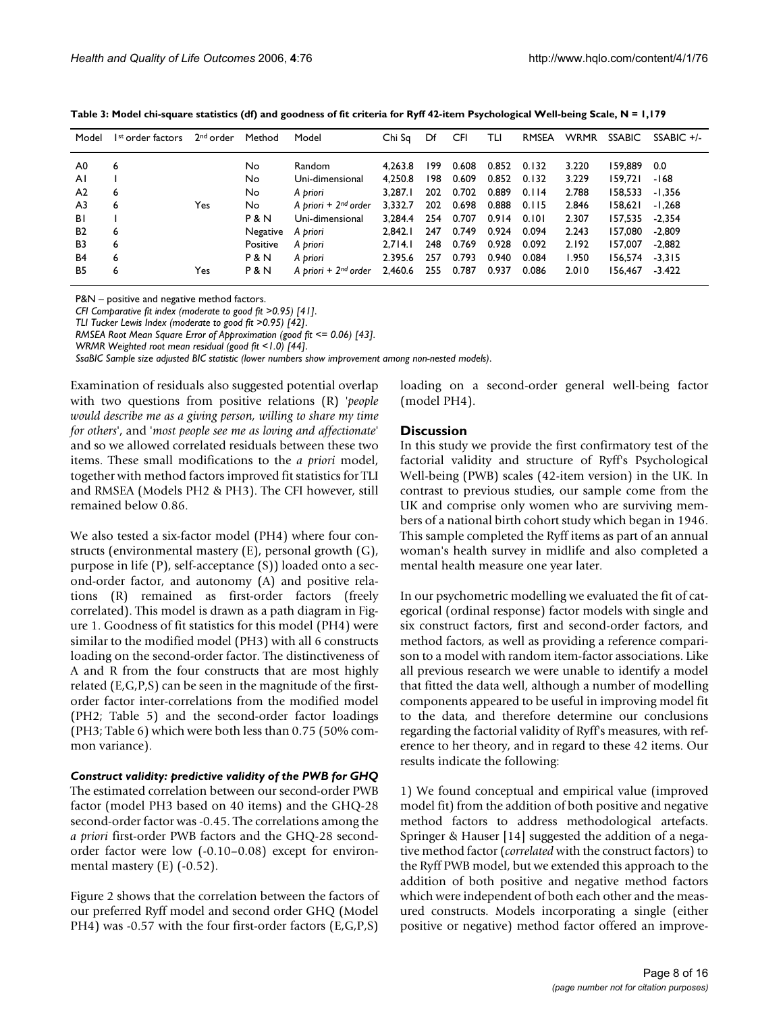| Table 3: Model chi-square statistics (df) and goodness of fit criteria for Ryff 42-item Psychological Well-being Scale, N = 1,179 |  |  |
|-----------------------------------------------------------------------------------------------------------------------------------|--|--|
|-----------------------------------------------------------------------------------------------------------------------------------|--|--|

| Model          | I <sup>st</sup> order factors | 2 <sup>nd</sup> order | Method         | Model                     | Chi Sq  | Df  | CFI   | TLI   | <b>RMSEA</b> | <b>WRMR</b> | <b>SSABIC</b> | $SSABIC +/-$ |
|----------------|-------------------------------|-----------------------|----------------|---------------------------|---------|-----|-------|-------|--------------|-------------|---------------|--------------|
| A0             | 6                             |                       | No             | Random                    | 4.263.8 | 199 | 0.608 | 0.852 | 0.132        | 3.220       | 159.889       | 0.0          |
| AI             |                               |                       | No             | Uni-dimensional           | 4.250.8 | 198 | 0.609 | 0.852 | 0.132        | 3.229       | 159.721       | -168         |
| A <sub>2</sub> | 6                             |                       | No             | A priori                  | 3.287.1 | 202 | 0.702 | 0.889 | 0.114        | 2.788       | 158.533       | $-1.356$     |
| A <sub>3</sub> | 6                             | Yes                   | No             | A priori + $2^{nd}$ order | 3.332.7 | 202 | 0.698 | 0.888 | 0.115        | 2.846       | 158.621       | $-1.268$     |
| BI             |                               |                       | <b>P&amp;N</b> | Uni-dimensional           | 3.284.4 | 254 | 0.707 | 0.914 | 0.101        | 2.307       | 157,535       | $-2.354$     |
| B2             | 6                             |                       | Negative       | A priori                  | 2.842.1 | 247 | 0.749 | 0.924 | 0.094        | 2.243       | 157.080       | $-2.809$     |
| B3             | 6                             |                       | Positive       | A priori                  | 2.714.1 | 248 | 0.769 | 0.928 | 0.092        | 2.192       | 157.007       | $-2,882$     |
| B4             | 6                             |                       | P & N          | A priori                  | 2.395.6 | 257 | 0.793 | 0.940 | 0.084        | 1.950       | 156.574       | $-3.315$     |
| B <sub>5</sub> | 6                             | Yes                   | <b>P&amp;N</b> | A priori + $2^{nd}$ order | 2.460.6 | 255 | 0.787 | 0.937 | 0.086        | 2.010       | 156.467       | $-3.422$     |

P&N – positive and negative method factors.

*CFI Comparative fit index (moderate to good fit >0.95) [41]*.

*TLI Tucker Lewis Index (moderate to good fit >0.95) [42]*.

*RMSEA Root Mean Square Error of Approximation (good fit <= 0.06) [43]*.

*WRMR Weighted root mean residual (good fit <1.0) [44]*.

*SsaBIC Sample size adjusted BIC statistic (lower numbers show improvement among non-nested models)*.

Examination of residuals also suggested potential overlap with two questions from positive relations (R) '*people would describe me as a giving person, willing to share my time for others*', and '*most people see me as loving and affectionate*' and so we allowed correlated residuals between these two items. These small modifications to the *a priori* model, together with method factors improved fit statistics for TLI and RMSEA (Models PH2 & PH3). The CFI however, still remained below 0.86.

We also tested a six-factor model (PH4) where four constructs (environmental mastery (E), personal growth (G), purpose in life (P), self-acceptance (S)) loaded onto a second-order factor, and autonomy (A) and positive relations (R) remained as first-order factors (freely correlated). This model is drawn as a path diagram in Figure 1. Goodness of fit statistics for this model (PH4) were similar to the modified model (PH3) with all 6 constructs loading on the second-order factor. The distinctiveness of A and R from the four constructs that are most highly related (E,G,P,S) can be seen in the magnitude of the firstorder factor inter-correlations from the modified model (PH2; Table 5) and the second-order factor loadings (PH3; Table 6) which were both less than 0.75 (50% common variance).

# *Construct validity: predictive validity of the PWB for GHQ*

The estimated correlation between our second-order PWB factor (model PH3 based on 40 items) and the GHQ-28 second-order factor was -0.45. The correlations among the *a priori* first-order PWB factors and the GHQ-28 secondorder factor were low (-0.10–0.08) except for environmental mastery (E) (-0.52).

Figure 2 shows that the correlation between the factors of our preferred Ryff model and second order GHQ (Model PH4) was -0.57 with the four first-order factors (E,G,P,S)

loading on a second-order general well-being factor (model PH4).

# **Discussion**

In this study we provide the first confirmatory test of the factorial validity and structure of Ryff's Psychological Well-being (PWB) scales (42-item version) in the UK. In contrast to previous studies, our sample come from the UK and comprise only women who are surviving members of a national birth cohort study which began in 1946. This sample completed the Ryff items as part of an annual woman's health survey in midlife and also completed a mental health measure one year later.

In our psychometric modelling we evaluated the fit of categorical (ordinal response) factor models with single and six construct factors, first and second-order factors, and method factors, as well as providing a reference comparison to a model with random item-factor associations. Like all previous research we were unable to identify a model that fitted the data well, although a number of modelling components appeared to be useful in improving model fit to the data, and therefore determine our conclusions regarding the factorial validity of Ryff's measures, with reference to her theory, and in regard to these 42 items. Our results indicate the following:

1) We found conceptual and empirical value (improved model fit) from the addition of both positive and negative method factors to address methodological artefacts. Springer & Hauser [14] suggested the addition of a negative method factor (*correlated* with the construct factors) to the Ryff PWB model, but we extended this approach to the addition of both positive and negative method factors which were independent of both each other and the measured constructs. Models incorporating a single (either positive or negative) method factor offered an improve-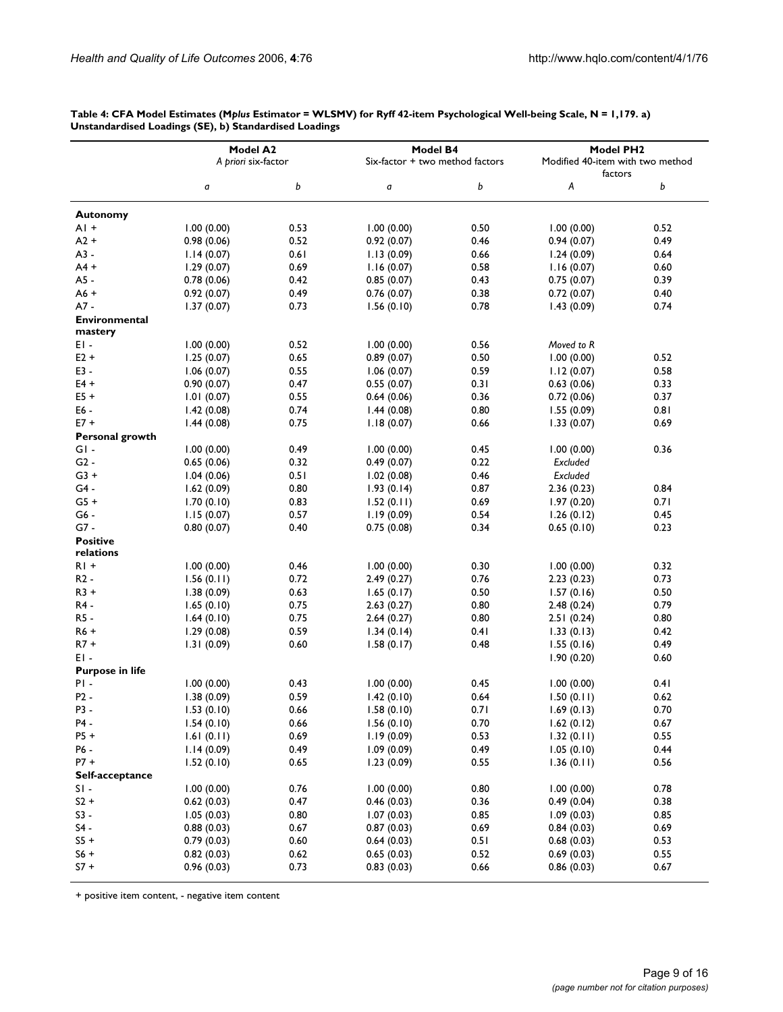|                                 | Model A2            |      |                                             |      | Model PH <sub>2</sub>            |      |  |
|---------------------------------|---------------------|------|---------------------------------------------|------|----------------------------------|------|--|
|                                 | A priori six-factor |      | Model B4<br>Six-factor + two method factors |      | Modified 40-item with two method |      |  |
|                                 |                     |      |                                             |      | factors                          |      |  |
|                                 | a                   | b    | a                                           | b    | A                                | b    |  |
| <b>Autonomy</b>                 |                     |      |                                             |      |                                  |      |  |
| $AI +$                          | 1.00(0.00)          | 0.53 | 1.00(0.00)                                  | 0.50 | 1.00(0.00)                       | 0.52 |  |
| $A2 +$                          | 0.98(0.06)          | 0.52 | 0.92(0.07)                                  | 0.46 | 0.94(0.07)                       | 0.49 |  |
| $A3 -$                          | 1.14(0.07)          | 0.61 | 1.13(0.09)                                  | 0.66 | 1.24(0.09)                       | 0.64 |  |
| $A4 +$                          | 1.29(0.07)          | 0.69 | 1.16(0.07)                                  | 0.58 | 1.16(0.07)                       | 0.60 |  |
| $A5 -$                          | 0.78(0.06)          | 0.42 | 0.85(0.07)                                  | 0.43 | 0.75(0.07)                       | 0.39 |  |
| $A6 +$                          | 0.92(0.07)          | 0.49 | 0.76(0.07)                                  | 0.38 | 0.72(0.07)                       | 0.40 |  |
| $A7 -$                          | 1.37(0.07)          | 0.73 | 1.56(0.10)                                  | 0.78 | 1.43(0.09)                       | 0.74 |  |
| <b>Environmental</b><br>mastery |                     |      |                                             |      |                                  |      |  |
| EI-                             | 1.00(0.00)          | 0.52 | 1.00(0.00)                                  | 0.56 | Moved to R                       |      |  |
| $E2 +$                          | 1.25(0.07)          | 0.65 | 0.89(0.07)                                  | 0.50 | 1.00(0.00)                       | 0.52 |  |
| $E3 -$                          | 1.06(0.07)          | 0.55 | 1.06(0.07)                                  | 0.59 | 1.12(0.07)                       | 0.58 |  |
| $E4 +$                          | 0.90(0.07)          | 0.47 | 0.55(0.07)                                  | 0.31 | 0.63(0.06)                       | 0.33 |  |
| $E5+$                           | 1.01(0.07)          | 0.55 | 0.64(0.06)                                  | 0.36 | 0.72(0.06)                       | 0.37 |  |
| E6 -                            | 1.42(0.08)          | 0.74 | 1.44(0.08)                                  | 0.80 | 1.55(0.09)                       | 0.81 |  |
| $E7 +$                          | 1.44(0.08)          | 0.75 | 1.18(0.07)                                  | 0.66 | 1.33(0.07)                       | 0.69 |  |
| Personal growth                 |                     |      |                                             |      |                                  |      |  |
| $GI -$                          | 1.00(0.00)          | 0.49 | 1.00(0.00)                                  | 0.45 | 1.00(0.00)                       | 0.36 |  |
| $G2 -$                          | 0.65(0.06)          | 0.32 | 0.49(0.07)                                  | 0.22 | Excluded                         |      |  |
| $G3 +$                          | 1.04(0.06)          | 0.51 | 1.02(0.08)                                  | 0.46 | Excluded                         |      |  |
| $G4 -$                          | 1.62(0.09)          | 0.80 | 1.93(0.14)                                  | 0.87 | 2.36(0.23)                       | 0.84 |  |
| $G5 +$                          | 1.70(0.10)          | 0.83 | 1.52(0.11)                                  | 0.69 | 1.97(0.20)                       | 0.71 |  |
| G6 -                            | 1.15(0.07)          | 0.57 | 1.19(0.09)                                  | 0.54 | 1.26(0.12)                       | 0.45 |  |
| $G7 -$                          | 0.80(0.07)          | 0.40 | 0.75(0.08)                                  | 0.34 | 0.65(0.10)                       | 0.23 |  |
| <b>Positive</b><br>relations    |                     |      |                                             |      |                                  |      |  |
| $R1 +$                          | 1.00(0.00)          | 0.46 | 1.00(0.00)                                  | 0.30 | 1.00(0.00)                       | 0.32 |  |
| $R2 -$                          | 1.56(0.11)          | 0.72 | 2.49(0.27)                                  | 0.76 | 2.23(0.23)                       | 0.73 |  |
| $R3 +$                          | 1.38(0.09)          | 0.63 | 1.65(0.17)                                  | 0.50 | 1.57(0.16)                       | 0.50 |  |
| R4 -                            | 1.65(0.10)          | 0.75 | 2.63(0.27)                                  | 0.80 | 2.48(0.24)                       | 0.79 |  |
| R5 -                            | 1.64(0.10)          | 0.75 | 2.64(0.27)                                  | 0.80 | 2.51(0.24)                       | 0.80 |  |
| $R6 +$                          | 1.29(0.08)          | 0.59 | 1.34(0.14)                                  | 0.41 | 1.33(0.13)                       | 0.42 |  |
| $R7 +$                          | 1.31(0.09)          | 0.60 | 1.58(0.17)                                  | 0.48 | 1.55(0.16)                       | 0.49 |  |
| EI-                             |                     |      |                                             |      | 1.90(0.20)                       | 0.60 |  |
| <b>Purpose in life</b>          |                     |      |                                             |      |                                  |      |  |
| $PI -$                          | 1.00(0.00)          | 0.43 | 1.00(0.00)                                  | 0.45 | 1.00(0.00)                       | 0.41 |  |
| $P2 -$                          | 1.38(0.09)          | 0.59 | 1.42(0.10)                                  | 0.64 | 1.50(0.11)                       | 0.62 |  |
| P3 -                            | 1.53(0.10)          | 0.66 | 1.58(0.10)                                  | 0.71 | 1.69(0.13)                       | 0.70 |  |
| P4 -                            | 1.54(0.10)          | 0.66 | 1.56(0.10)                                  | 0.70 | 1.62(0.12)                       | 0.67 |  |
| $P5+$                           | 1.61(0.11)          | 0.69 | 1.19(0.09)                                  | 0.53 | 1.32(0.11)                       | 0.55 |  |
| P6 -                            | 1.14(0.09)          | 0.49 | 1.09(0.09)                                  | 0.49 | 1.05(0.10)                       | 0.44 |  |
| $P7 +$                          | 1.52(0.10)          | 0.65 | 1.23(0.09)                                  | 0.55 | 1.36(0.11)                       | 0.56 |  |
| Self-acceptance                 |                     |      |                                             |      |                                  |      |  |
| $SI -$                          | 1.00(0.00)          | 0.76 | 1.00(0.00)                                  | 0.80 | 1.00(0.00)                       | 0.78 |  |
| $S2 +$                          | 0.62(0.03)          | 0.47 | 0.46(0.03)                                  | 0.36 | 0.49(0.04)                       | 0.38 |  |
| $S3 -$                          | 1.05(0.03)          | 0.80 | 1.07(0.03)                                  | 0.85 | 1.09(0.03)                       | 0.85 |  |
| $S4 -$                          | 0.88(0.03)          | 0.67 | 0.87(0.03)                                  | 0.69 | 0.84(0.03)                       | 0.69 |  |
| $S5$ +                          | 0.79(0.03)          | 0.60 | 0.64(0.03)                                  | 0.51 | 0.68(0.03)                       | 0.53 |  |
| $S6 +$                          | 0.82(0.03)          | 0.62 | 0.65(0.03)                                  | 0.52 | 0.69(0.03)                       | 0.55 |  |
| $S7 +$                          | 0.96(0.03)          | 0.73 | 0.83(0.03)                                  | 0.66 | 0.86(0.03)                       | 0.67 |  |

**Table 4: CFA Model Estimates (M***plus* **Estimator = WLSMV) for Ryff 42-item Psychological Well-being Scale, N = 1,179. a) Unstandardised Loadings (SE), b) Standardised Loadings**

+ positive item content, - negative item content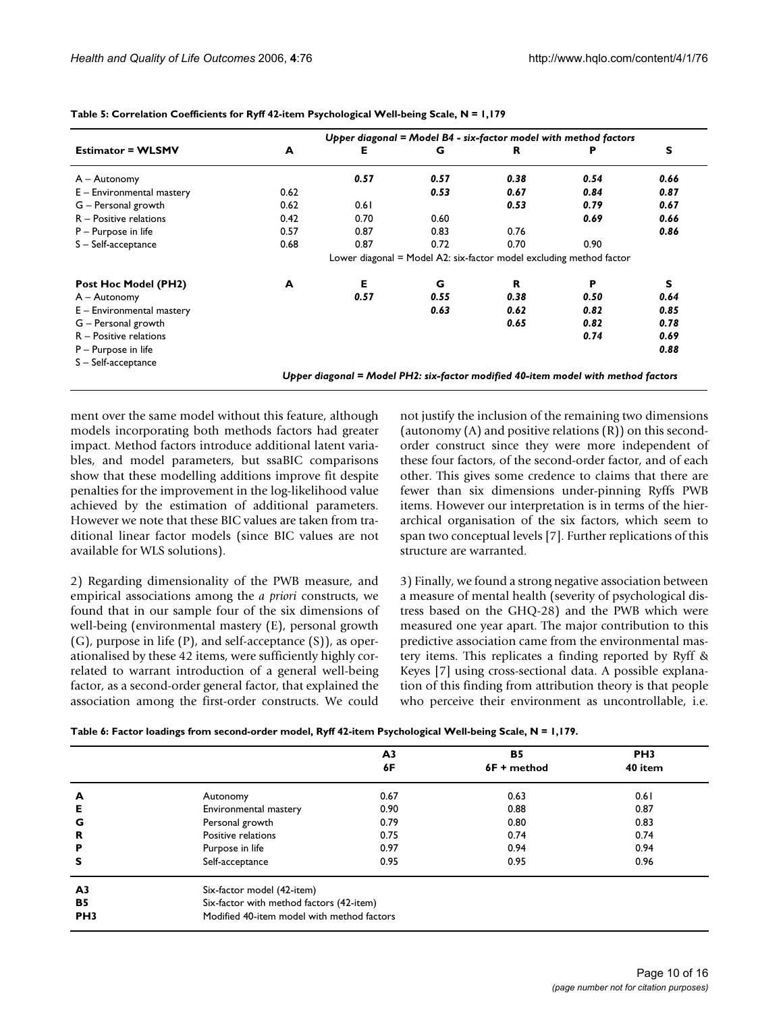|                             | Upper diagonal = Model $B4$ - six-factor model with method factors |      |      |                                                                                   |      |      |  |  |  |
|-----------------------------|--------------------------------------------------------------------|------|------|-----------------------------------------------------------------------------------|------|------|--|--|--|
| <b>Estimator = WLSMV</b>    | A                                                                  | Е    | G    | R                                                                                 |      | S    |  |  |  |
| A – Autonomy                |                                                                    | 0.57 | 0.57 | 0.38                                                                              | 0.54 | 0.66 |  |  |  |
| $E$ – Environmental mastery | 0.62                                                               |      | 0.53 | 0.67                                                                              | 0.84 | 0.87 |  |  |  |
| $G -$ Personal growth       | 0.62                                                               | 0.61 |      | 0.53                                                                              | 0.79 | 0.67 |  |  |  |
| $R -$ Positive relations    | 0.42                                                               | 0.70 | 0.60 |                                                                                   | 0.69 | 0.66 |  |  |  |
| $P -$ Purpose in life       | 0.57                                                               | 0.87 | 0.83 | 0.76                                                                              |      | 0.86 |  |  |  |
| S-Self-acceptance           | 0.68                                                               | 0.87 | 0.72 | 0.70                                                                              | 0.90 |      |  |  |  |
|                             |                                                                    |      |      | Lower diagonal = Model A2: six-factor model excluding method factor               |      |      |  |  |  |
| Post Hoc Model (PH2)        | A                                                                  | Е    | G    | $\mathbf R$                                                                       | P    | s    |  |  |  |
| $A -$ Autonomy              |                                                                    | 0.57 | 0.55 | 0.38                                                                              | 0.50 | 0.64 |  |  |  |
| $E$ – Environmental mastery |                                                                    |      | 0.63 | 0.62                                                                              | 0.82 | 0.85 |  |  |  |
| G – Personal growth         |                                                                    |      |      | 0.65                                                                              | 0.82 | 0.78 |  |  |  |
| $R -$ Positive relations    |                                                                    |      |      |                                                                                   | 0.74 | 0.69 |  |  |  |
| $P -$ Purpose in life       |                                                                    |      |      |                                                                                   |      | 0.88 |  |  |  |
| S-Self-acceptance           |                                                                    |      |      |                                                                                   |      |      |  |  |  |
|                             |                                                                    |      |      | Upper diagonal = Model PH2: six-factor modified 40-item model with method factors |      |      |  |  |  |

**Table 5: Correlation Coefficients for Ryff 42-item Psychological Well-being Scale, N = 1,179**

ment over the same model without this feature, although models incorporating both methods factors had greater impact. Method factors introduce additional latent variables, and model parameters, but ssaBIC comparisons show that these modelling additions improve fit despite penalties for the improvement in the log-likelihood value achieved by the estimation of additional parameters. However we note that these BIC values are taken from traditional linear factor models (since BIC values are not available for WLS solutions).

2) Regarding dimensionality of the PWB measure, and empirical associations among the *a priori* constructs, we found that in our sample four of the six dimensions of well-being (environmental mastery (E), personal growth (G), purpose in life (P), and self-acceptance (S)), as operationalised by these 42 items, were sufficiently highly correlated to warrant introduction of a general well-being factor, as a second-order general factor, that explained the association among the first-order constructs. We could not justify the inclusion of the remaining two dimensions (autonomy (A) and positive relations (R)) on this secondorder construct since they were more independent of these four factors, of the second-order factor, and of each other. This gives some credence to claims that there are fewer than six dimensions under-pinning Ryffs PWB items. However our interpretation is in terms of the hierarchical organisation of the six factors, which seem to span two conceptual levels [7]. Further replications of this structure are warranted.

3) Finally, we found a strong negative association between a measure of mental health (severity of psychological distress based on the GHQ-28) and the PWB which were measured one year apart. The major contribution to this predictive association came from the environmental mastery items. This replicates a finding reported by Ryff & Keyes [7] using cross-sectional data. A possible explanation of this finding from attribution theory is that people who perceive their environment as uncontrollable, i.e.

| Table 6: Factor loadings from second-order model, Ryff 42-item Psychological Well-being Scale, N = 1,179. |  |  |  |
|-----------------------------------------------------------------------------------------------------------|--|--|--|
|-----------------------------------------------------------------------------------------------------------|--|--|--|

|                 |                                            | A3   | <b>B5</b>   | PH <sub>3</sub> |  |  |  |  |
|-----------------|--------------------------------------------|------|-------------|-----------------|--|--|--|--|
|                 |                                            | 6F   | 6F + method | 40 item         |  |  |  |  |
| A               | Autonomy                                   | 0.67 | 0.63        | 0.61            |  |  |  |  |
| Е               | Environmental mastery                      | 0.90 | 0.88        | 0.87            |  |  |  |  |
| G               | Personal growth                            | 0.79 | 0.80        | 0.83            |  |  |  |  |
| R               | Positive relations                         | 0.75 | 0.74        | 0.74            |  |  |  |  |
| P               | Purpose in life                            | 0.97 | 0.94        | 0.94            |  |  |  |  |
| s               | Self-acceptance                            | 0.95 | 0.95        | 0.96            |  |  |  |  |
| A <sub>3</sub>  | Six-factor model (42-item)                 |      |             |                 |  |  |  |  |
| <b>B5</b>       | Six-factor with method factors (42-item)   |      |             |                 |  |  |  |  |
| PH <sub>3</sub> | Modified 40-item model with method factors |      |             |                 |  |  |  |  |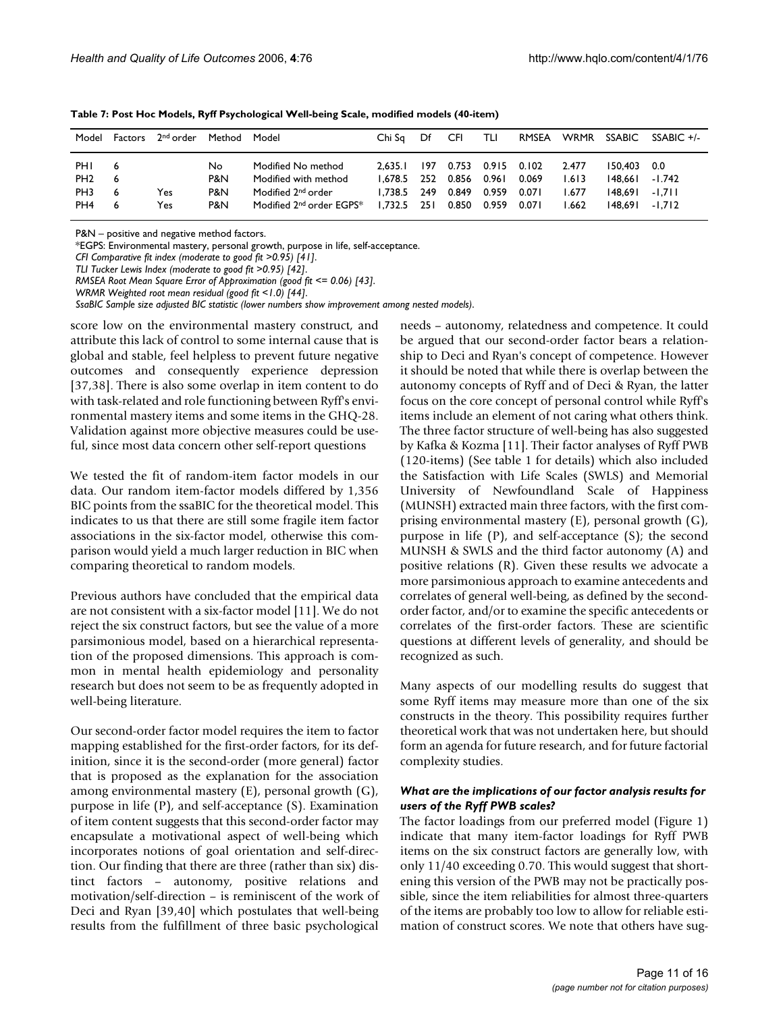| Model                                            | Factors | 2 <sup>nd</sup> order | Method                  | Model                                                                                                                | Chi Sa                                   | Df                        | CFI                              | TLI                              | RMSEA                            | WRMR                             | SSABIC                                   | $SSABIC +/-$                            |
|--------------------------------------------------|---------|-----------------------|-------------------------|----------------------------------------------------------------------------------------------------------------------|------------------------------------------|---------------------------|----------------------------------|----------------------------------|----------------------------------|----------------------------------|------------------------------------------|-----------------------------------------|
| PHI<br>PH <sub>2</sub><br>PH <sub>3</sub><br>PH4 | 6       | Yes.<br>Yes.          | No<br>P&N<br>P&N<br>P&N | Modified No method<br>Modified with method<br>Modified 2 <sup>nd</sup> order<br>Modified 2 <sup>nd</sup> order EGPS* | 2.635.1<br>1.678.5<br>1.738.5<br>1.732.5 | 197<br>252<br>249<br>-251 | 0.753<br>0.856<br>0.849<br>0.850 | 0.915<br>0.961<br>0.959<br>0.959 | 0.102<br>0.069<br>0.071<br>0.071 | 2.477<br>1.613<br>1.677<br>1.662 | 150,403<br>148.661<br>148.691<br>148.691 | 0.0<br>$-1.742$<br>$-1.711$<br>$-1.712$ |

**Table 7: Post Hoc Models, Ryff Psychological Well-being Scale, modified models (40-item)**

P&N – positive and negative method factors.

\*EGPS: Environmental mastery, personal growth, purpose in life, self-acceptance.

*CFI Comparative fit index (moderate to good fit >0.95) [41]*.

*TLI Tucker Lewis Index (moderate to good fit >0.95) [42]*.

*RMSEA Root Mean Square Error of Approximation (good fit <= 0.06) [43]*.

*WRMR Weighted root mean residual (good fit <1.0) [44]*.

*SsaBIC Sample size adjusted BIC statistic (lower numbers show improvement among nested models)*.

score low on the environmental mastery construct, and attribute this lack of control to some internal cause that is global and stable, feel helpless to prevent future negative outcomes and consequently experience depression [37,38]. There is also some overlap in item content to do with task-related and role functioning between Ryff's environmental mastery items and some items in the GHQ-28. Validation against more objective measures could be useful, since most data concern other self-report questions

We tested the fit of random-item factor models in our data. Our random item-factor models differed by 1,356 BIC points from the ssaBIC for the theoretical model. This indicates to us that there are still some fragile item factor associations in the six-factor model, otherwise this comparison would yield a much larger reduction in BIC when comparing theoretical to random models.

Previous authors have concluded that the empirical data are not consistent with a six-factor model [11]. We do not reject the six construct factors, but see the value of a more parsimonious model, based on a hierarchical representation of the proposed dimensions. This approach is common in mental health epidemiology and personality research but does not seem to be as frequently adopted in well-being literature.

Our second-order factor model requires the item to factor mapping established for the first-order factors, for its definition, since it is the second-order (more general) factor that is proposed as the explanation for the association among environmental mastery (E), personal growth (G), purpose in life (P), and self-acceptance (S). Examination of item content suggests that this second-order factor may encapsulate a motivational aspect of well-being which incorporates notions of goal orientation and self-direction. Our finding that there are three (rather than six) distinct factors – autonomy, positive relations and motivation/self-direction – is reminiscent of the work of Deci and Ryan [39,40] which postulates that well-being results from the fulfillment of three basic psychological

needs – autonomy, relatedness and competence. It could be argued that our second-order factor bears a relationship to Deci and Ryan's concept of competence. However it should be noted that while there is overlap between the autonomy concepts of Ryff and of Deci & Ryan, the latter focus on the core concept of personal control while Ryff's items include an element of not caring what others think. The three factor structure of well-being has also suggested by Kafka & Kozma [11]. Their factor analyses of Ryff PWB (120-items) (See table 1 for details) which also included the Satisfaction with Life Scales (SWLS) and Memorial University of Newfoundland Scale of Happiness (MUNSH) extracted main three factors, with the first comprising environmental mastery (E), personal growth (G), purpose in life (P), and self-acceptance (S); the second MUNSH & SWLS and the third factor autonomy (A) and positive relations (R). Given these results we advocate a more parsimonious approach to examine antecedents and correlates of general well-being, as defined by the secondorder factor, and/or to examine the specific antecedents or correlates of the first-order factors. These are scientific questions at different levels of generality, and should be recognized as such.

Many aspects of our modelling results do suggest that some Ryff items may measure more than one of the six constructs in the theory. This possibility requires further theoretical work that was not undertaken here, but should form an agenda for future research, and for future factorial complexity studies.

#### *What are the implications of our factor analysis results for users of the Ryff PWB scales?*

The factor loadings from our preferred model (Figure 1) indicate that many item-factor loadings for Ryff PWB items on the six construct factors are generally low, with only 11/40 exceeding 0.70. This would suggest that shortening this version of the PWB may not be practically possible, since the item reliabilities for almost three-quarters of the items are probably too low to allow for reliable estimation of construct scores. We note that others have sug-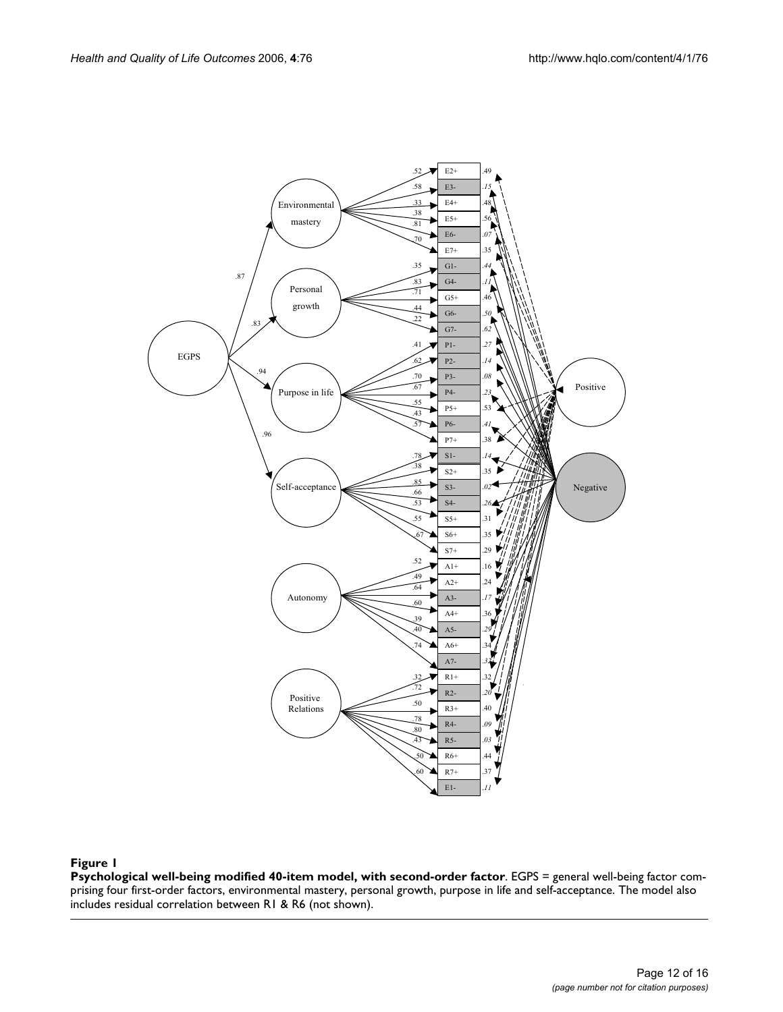

# **Figure 1**

**Psychological well-being modified 40-item model, with second-order factor**. EGPS = general well-being factor comprising four first-order factors, environmental mastery, personal growth, purpose in life and self-acceptance. The model also includes residual correlation between R1 & R6 (not shown).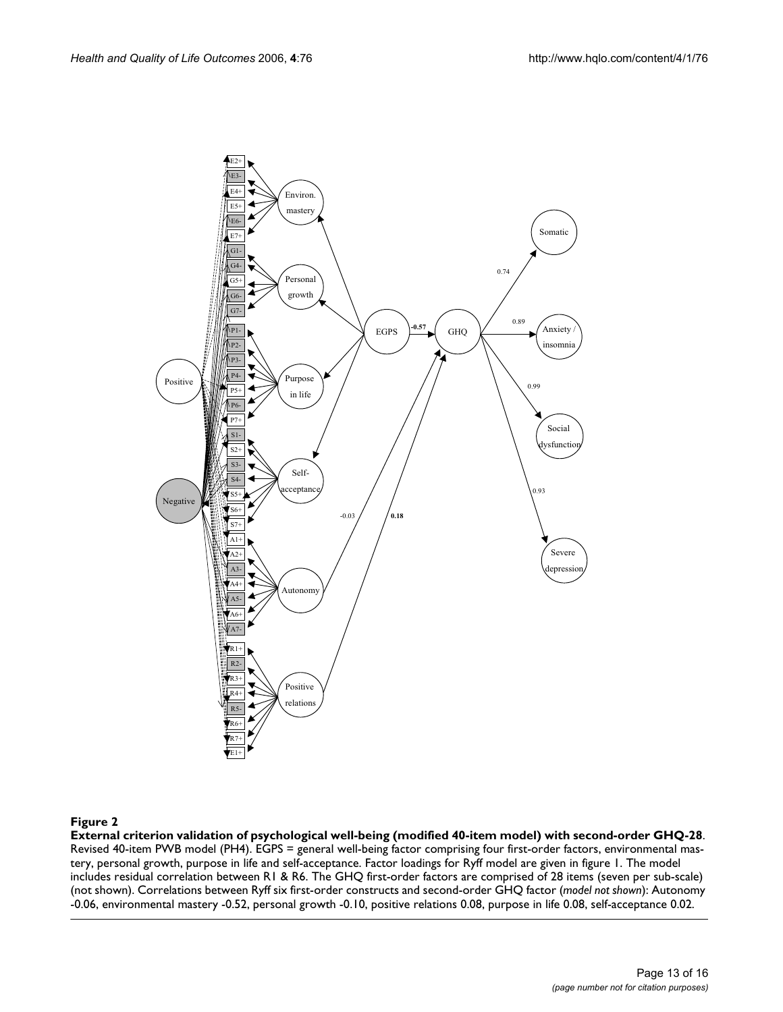

### External criterion validation of ps **Figure 2** ychological well-being (modified 40-item model) with second-order GHQ-28

**External criterion validation of psychological well-being (modified 40-item model) with second-order GHQ-28**. Revised 40-item PWB model (PH4). EGPS = general well-being factor comprising four first-order factors, environmental mastery, personal growth, purpose in life and self-acceptance. Factor loadings for Ryff model are given in figure 1. The model includes residual correlation between R1 & R6. The GHQ first-order factors are comprised of 28 items (seven per sub-scale) (not shown). Correlations between Ryff six first-order constructs and second-order GHQ factor (*model not shown*): Autonomy -0.06, environmental mastery -0.52, personal growth -0.10, positive relations 0.08, purpose in life 0.08, self-acceptance 0.02.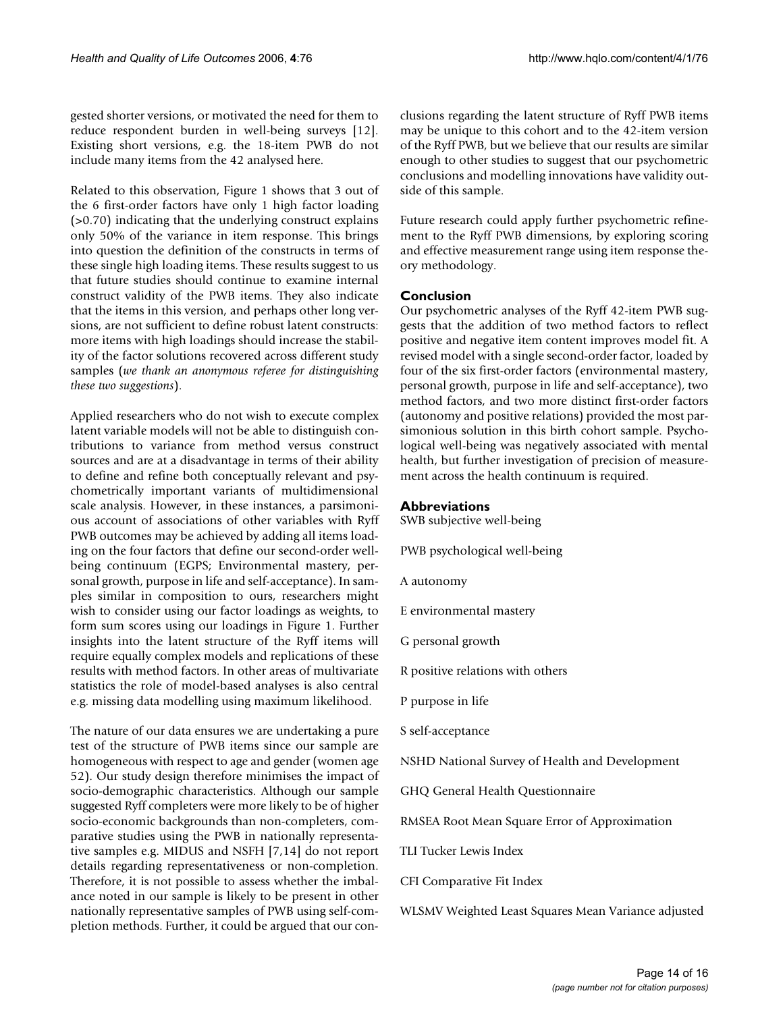gested shorter versions, or motivated the need for them to reduce respondent burden in well-being surveys [12]. Existing short versions, e.g. the 18-item PWB do not include many items from the 42 analysed here.

Related to this observation, Figure 1 shows that 3 out of the 6 first-order factors have only 1 high factor loading (>0.70) indicating that the underlying construct explains only 50% of the variance in item response. This brings into question the definition of the constructs in terms of these single high loading items. These results suggest to us that future studies should continue to examine internal construct validity of the PWB items. They also indicate that the items in this version, and perhaps other long versions, are not sufficient to define robust latent constructs: more items with high loadings should increase the stability of the factor solutions recovered across different study samples (*we thank an anonymous referee for distinguishing these two suggestions*).

Applied researchers who do not wish to execute complex latent variable models will not be able to distinguish contributions to variance from method versus construct sources and are at a disadvantage in terms of their ability to define and refine both conceptually relevant and psychometrically important variants of multidimensional scale analysis. However, in these instances, a parsimonious account of associations of other variables with Ryff PWB outcomes may be achieved by adding all items loading on the four factors that define our second-order wellbeing continuum (EGPS; Environmental mastery, personal growth, purpose in life and self-acceptance). In samples similar in composition to ours, researchers might wish to consider using our factor loadings as weights, to form sum scores using our loadings in Figure 1. Further insights into the latent structure of the Ryff items will require equally complex models and replications of these results with method factors. In other areas of multivariate statistics the role of model-based analyses is also central e.g. missing data modelling using maximum likelihood.

The nature of our data ensures we are undertaking a pure test of the structure of PWB items since our sample are homogeneous with respect to age and gender (women age 52). Our study design therefore minimises the impact of socio-demographic characteristics. Although our sample suggested Ryff completers were more likely to be of higher socio-economic backgrounds than non-completers, comparative studies using the PWB in nationally representative samples e.g. MIDUS and NSFH [7,14] do not report details regarding representativeness or non-completion. Therefore, it is not possible to assess whether the imbalance noted in our sample is likely to be present in other nationally representative samples of PWB using self-completion methods. Further, it could be argued that our conclusions regarding the latent structure of Ryff PWB items may be unique to this cohort and to the 42-item version of the Ryff PWB, but we believe that our results are similar enough to other studies to suggest that our psychometric conclusions and modelling innovations have validity outside of this sample.

Future research could apply further psychometric refinement to the Ryff PWB dimensions, by exploring scoring and effective measurement range using item response theory methodology.

#### **Conclusion**

Our psychometric analyses of the Ryff 42-item PWB suggests that the addition of two method factors to reflect positive and negative item content improves model fit. A revised model with a single second-order factor, loaded by four of the six first-order factors (environmental mastery, personal growth, purpose in life and self-acceptance), two method factors, and two more distinct first-order factors (autonomy and positive relations) provided the most parsimonious solution in this birth cohort sample. Psychological well-being was negatively associated with mental health, but further investigation of precision of measurement across the health continuum is required.

#### **Abbreviations**

SWB subjective well-being

PWB psychological well-being

- A autonomy
- E environmental mastery
- G personal growth
- R positive relations with others
- P purpose in life
- S self-acceptance

NSHD National Survey of Health and Development

GHQ General Health Questionnaire

RMSEA Root Mean Square Error of Approximation

TLI Tucker Lewis Index

CFI Comparative Fit Index

WLSMV Weighted Least Squares Mean Variance adjusted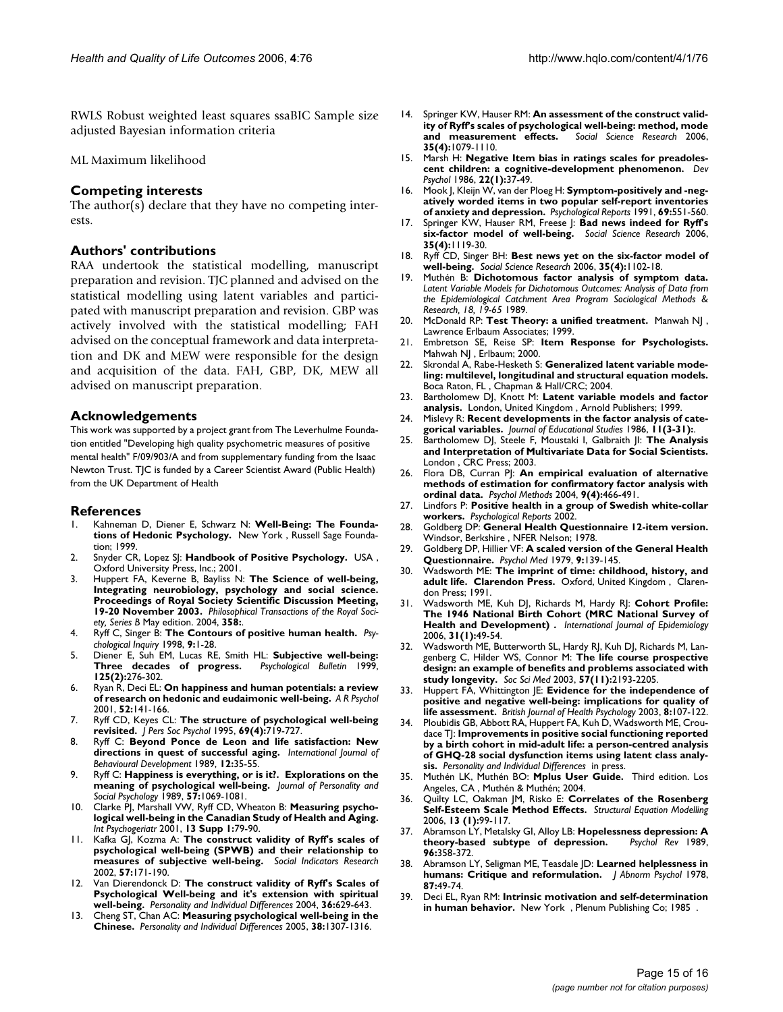RWLS Robust weighted least squares ssaBIC Sample size adjusted Bayesian information criteria

#### ML Maximum likelihood

#### **Competing interests**

The author(s) declare that they have no competing interests.

#### **Authors' contributions**

RAA undertook the statistical modelling, manuscript preparation and revision. TJC planned and advised on the statistical modelling using latent variables and participated with manuscript preparation and revision. GBP was actively involved with the statistical modelling; FAH advised on the conceptual framework and data interpretation and DK and MEW were responsible for the design and acquisition of the data. FAH, GBP, DK, MEW all advised on manuscript preparation.

#### **Acknowledgements**

This work was supported by a project grant from The Leverhulme Foundation entitled "Developing high quality psychometric measures of positive mental health" F/09/903/A and from supplementary funding from the Isaac Newton Trust. TJC is funded by a Career Scientist Award (Public Health) from the UK Department of Health

#### **References**

- Kahneman D, Diener E, Schwarz N: Well-Being: The Founda**tions of Hedonic Psychology.** New York , Russell Sage Foundation; 1999.
- 2. Snyder CR, Lopez SJ: **Handbook of Positive Psychology.** USA , Oxford University Press, Inc.; 2001.
- 3. Huppert FA, Keverne B, Bayliss N: **The Science of well-being, Integrating neurobiology, psychology and social science. Proceedings of Royal Society Scientific Discussion Meeting, 19-20 November 2003.** *Philosophical Transactions of the Royal Society, Series B* May edition. 2004, **358:**.
- 4. Ryff C, Singer B: **The Contours of positive human health.** *Psychological Inquiry* 1998, **9:**1-28.
- 5. Diener E, Suh EM, Lucas RE, Smith HL: **Subjective well-being: Three decades of progress. 125(2):**276-302.
- 6. Ryan R, Deci EL: **On happiness and human potentials: a review of research on hedonic and eudaimonic well-being.** *A R Psychol* 2001, **52:**141-166.
- 7. Ryff CD, Keyes CL: **[The structure of psychological well-being](http://www.ncbi.nlm.nih.gov/entrez/query.fcgi?cmd=Retrieve&db=PubMed&dopt=Abstract&list_uids=7473027) [revisited.](http://www.ncbi.nlm.nih.gov/entrez/query.fcgi?cmd=Retrieve&db=PubMed&dopt=Abstract&list_uids=7473027)** *J Pers Soc Psychol* 1995, **69(4):**719-727.
- 8. Ryff C: **Beyond Ponce de Leon and life satisfaction: New directions in quest of successful aging.** *International Journal of Behavioural Development* 1989, **12:**35-55.
- 9. Ryff C: **Happiness is everything, or is it?. Explorations on the meaning of psychological well-being.** *Journal of Personality and Social Psychology* 1989, **57:**1069-1081.
- 10. Clarke PJ, Marshall VW, Ryff CD, Wheaton B: **[Measuring psycho](http://www.ncbi.nlm.nih.gov/entrez/query.fcgi?cmd=Retrieve&db=PubMed&dopt=Abstract&list_uids=11892978)[logical well-being in the Canadian Study of Health and Aging.](http://www.ncbi.nlm.nih.gov/entrez/query.fcgi?cmd=Retrieve&db=PubMed&dopt=Abstract&list_uids=11892978)** *Int Psychogeriatr* 2001, **13 Supp 1:**79-90.
- 11. Kafka GJ, Kozma A: **The construct validity of Ryff's scales of psychological well-being (SPWB) and their relationship to measures of subjective well-being.** *Social Indicators Research* 2002, **57:**171-190.
- 12. Van Dierendonck D: **The construct validity of Ryff's Scales of Psychological Well-being and it's extension with spiritual well-being.** *Personality and Individual Differences* 2004, **36:**629-643.
- 13. Cheng ST, Chan AC: **Measuring psychological well-being in the Chinese.** *Personality and Individual Differences* 2005, **38:**1307-1316.
- 14. Springer KW, Hauser RM: **An assessment of the construct validity of Ryff's scales of psychological well-being: method, mode and measurement effects.** *Social Science Research* 2006, **35(4):**1079-1110.
- 15. Marsh H: **Negative Item bias in ratings scales for preadolescent children: a cognitive-development phenomenon.** *Dev Psychol* 1986, **22(1):**37-49.
- 16. Mook J, Kleijn W, van der Ploeg H: **[Symptom-positively and -neg](http://www.ncbi.nlm.nih.gov/entrez/query.fcgi?cmd=Retrieve&db=PubMed&dopt=Abstract&list_uids=1763168)[atively worded items in two popular self-report inventories](http://www.ncbi.nlm.nih.gov/entrez/query.fcgi?cmd=Retrieve&db=PubMed&dopt=Abstract&list_uids=1763168) [of anxiety and depression.](http://www.ncbi.nlm.nih.gov/entrez/query.fcgi?cmd=Retrieve&db=PubMed&dopt=Abstract&list_uids=1763168)** *Psychological Reports* 1991, **69:**551-560.
- 17. Springer KW, Hauser RM, Freese J: **Bad news indeed for Ryff's six-factor model of well-being.** *Social Science Research* 2006, **35(4):**1119-30.
- 18. Ryff CD, Singer BH: **Best news yet on the six-factor model of well-being.** *Social Science Research* 2006, **35(4):**1102-18.
- 19. Muthén B: **Dichotomous factor analysis of symptom data.** *Latent Variable Models for Dichotomous Outcomes: Analysis of Data from the Epidemiological Catchment Area Program Sociological Methods & Research, 18, 19-65* 1989.
- 20. McDonald RP: **Test Theory: a unified treatment.** Manwah NJ , Lawrence Erlbaum Associates; 1999.
- 21. Embretson SE, Reise SP: **Item Response for Psychologists.** Mahwah NJ , Erlbaum; 2000.
- 22. Skrondal A, Rabe-Hesketh S: **Generalized latent variable modeling: multilevel, longitudinal and structural equation models.** Boca Raton, FL , Chapman & Hall/CRC; 2004.
- 23. Bartholomew DJ, Knott M: **Latent variable models and factor analysis.** London, United Kingdom , Arnold Publishers; 1999.
- 24. Mislevy R: **Recent developments in the factor analysis of categorical variables.** *Journal of Educational Studies* 1986, **11(3-31):**.
- 25. Bartholomew DJ, Steele F, Moustaki I, Galbraith JI: **The Analysis and Interpretation of Multivariate Data for Social Scientists.** London , CRC Press; 2003.
- 26. Flora DB, Curran PJ: **[An empirical evaluation of alternative](http://www.ncbi.nlm.nih.gov/entrez/query.fcgi?cmd=Retrieve&db=PubMed&dopt=Abstract&list_uids=15598100) [methods of estimation for confirmatory factor analysis with](http://www.ncbi.nlm.nih.gov/entrez/query.fcgi?cmd=Retrieve&db=PubMed&dopt=Abstract&list_uids=15598100) [ordinal data.](http://www.ncbi.nlm.nih.gov/entrez/query.fcgi?cmd=Retrieve&db=PubMed&dopt=Abstract&list_uids=15598100)** *Psychol Methods* 2004, **9(4):**466-491.
- 27. Lindfors P: **[Positive health in a group of Swedish white-collar](http://www.ncbi.nlm.nih.gov/entrez/query.fcgi?cmd=Retrieve&db=PubMed&dopt=Abstract&list_uids=12530731) [workers.](http://www.ncbi.nlm.nih.gov/entrez/query.fcgi?cmd=Retrieve&db=PubMed&dopt=Abstract&list_uids=12530731)** *Psychological Reports* 2002.
- 28. Goldberg DP: **General Health Questionnaire 12-item version.** Windsor, Berkshire , NFER Nelson; 1978.
- 29. Goldberg DP, Hillier VF: **[A scaled version of the General Health](http://www.ncbi.nlm.nih.gov/entrez/query.fcgi?cmd=Retrieve&db=PubMed&dopt=Abstract&list_uids=424481) [Questionnaire.](http://www.ncbi.nlm.nih.gov/entrez/query.fcgi?cmd=Retrieve&db=PubMed&dopt=Abstract&list_uids=424481)** *Psychol Med* 1979, **9:**139-145.
- 30. Wadsworth ME: **The imprint of time: childhood, history, and adult life. Clarendon Press.** Oxford, United Kingdom , Clarendon Press; 1991.
- 31. Wadsworth ME, Kuh DJ, Richards M, Hardy RJ: **Cohort Profile: The 1946 National Birth Cohort (MRC National Survey of Health and Development) .** *International Journal of Epidemiology* 2006, **31(1):**49-54.
- 32. Wadsworth ME, Butterworth SL, Hardy RJ, Kuh DJ, Richards M, Langenberg C, Hilder WS, Connor M: **[The life course prospective](http://www.ncbi.nlm.nih.gov/entrez/query.fcgi?cmd=Retrieve&db=PubMed&dopt=Abstract&list_uids=14512249) [design: an example of benefits and problems associated with](http://www.ncbi.nlm.nih.gov/entrez/query.fcgi?cmd=Retrieve&db=PubMed&dopt=Abstract&list_uids=14512249) [study longevity.](http://www.ncbi.nlm.nih.gov/entrez/query.fcgi?cmd=Retrieve&db=PubMed&dopt=Abstract&list_uids=14512249)** *Soc Sci Med* 2003, **57(11):**2193-2205.
- 33. Huppert FA, Whittington JE: **[Evidence for the independence of](http://www.ncbi.nlm.nih.gov/entrez/query.fcgi?cmd=Retrieve&db=PubMed&dopt=Abstract&list_uids=12643820) [positive and negative well-being: implications for quality of](http://www.ncbi.nlm.nih.gov/entrez/query.fcgi?cmd=Retrieve&db=PubMed&dopt=Abstract&list_uids=12643820) [life assessment.](http://www.ncbi.nlm.nih.gov/entrez/query.fcgi?cmd=Retrieve&db=PubMed&dopt=Abstract&list_uids=12643820)** *British Journal of Health Psychology* 2003, **8:**107-122.
- 34. Ploubidis GB, Abbott RA, Huppert FA, Kuh D, Wadsworth ME, Croudace TJ: **Improvements in positive social functioning reported by a birth cohort in mid-adult life: a person-centred analysis of GHQ-28 social dysfunction items using latent class analysis.** *Personality and Individual Differences* in press.
- 35. Muthén LK, Muthén BO: **Mplus User Guide.** Third edition. Los Angeles, CA , Muthén & Muthén; 2004.
- 36. Quilty LC, Oakman JM, Risko E: **Correlates of the Rosenberg Self-Esteem Scale Method Effects.** *Structural Equation Modelling* 2006, **13 (1):**99-117.
- 37. Abramson LY, Metalsky GI, Alloy LB: **Hopelessness depression: A theory-based subtype of depression.** *Psychol Rev* 1989, **96:**358-372.
- 38. Abramson LY, Seligman ME, Teasdale JD: **[Learned helplessness in](http://www.ncbi.nlm.nih.gov/entrez/query.fcgi?cmd=Retrieve&db=PubMed&dopt=Abstract&list_uids=649856) [humans: Critique and reformulation.](http://www.ncbi.nlm.nih.gov/entrez/query.fcgi?cmd=Retrieve&db=PubMed&dopt=Abstract&list_uids=649856)** *J Abnorm Psychol* 1978, **87:**49-74.
- 39. Deci EL, Ryan RM: **[Intrinsic motivation and self-determination](http://www.ncbi.nlm.nih.gov/entrez/query.fcgi?cmd=Retrieve&db=PubMed&dopt=Abstract&list_uids=3841237) [in human behavior.](http://www.ncbi.nlm.nih.gov/entrez/query.fcgi?cmd=Retrieve&db=PubMed&dopt=Abstract&list_uids=3841237)** New York , Plenum Publishing Co; 1985 .